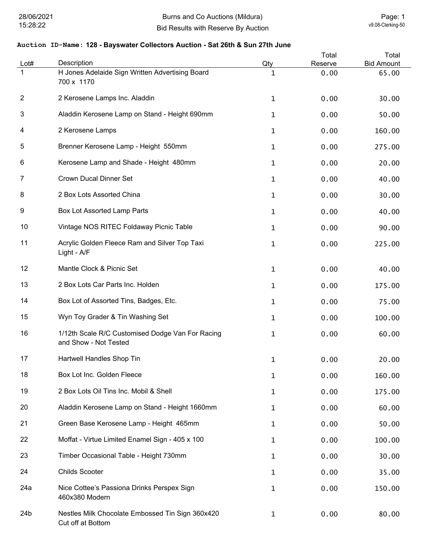| Lot#           | Description                                                               | Qty          | Total<br>Reserve | Total<br><b>Bid Amount</b> |
|----------------|---------------------------------------------------------------------------|--------------|------------------|----------------------------|
|                | H Jones Adelaide Sign Written Advertising Board<br>700 x 1170             | $\mathbf{1}$ | 0.00             | 65.00                      |
| $\overline{2}$ | 2 Kerosene Lamps Inc. Aladdin                                             | $\mathbf{1}$ | 0.00             | 30.00                      |
| 3              | Aladdin Kerosene Lamp on Stand - Height 690mm                             | $\mathbf{1}$ | 0.00             | 50.00                      |
| 4              | 2 Kerosene Lamps                                                          | $\mathbf{1}$ | 0.00             | 160.00                     |
| 5              | Brenner Kerosene Lamp - Height 550mm                                      | $\mathbf{1}$ | 0.00             | 275.00                     |
| 6              | Kerosene Lamp and Shade - Height 480mm                                    | $\mathbf{1}$ | 0.00             | 20.00                      |
| 7              | <b>Crown Ducal Dinner Set</b>                                             | $\mathbf{1}$ | 0.00             | 40.00                      |
| 8              | 2 Box Lots Assorted China                                                 | $\mathbf{1}$ | 0.00             | 30.00                      |
| 9              | Box Lot Assorted Lamp Parts                                               | $\mathbf{1}$ | 0.00             | 40.00                      |
| 10             | Vintage NOS RITEC Foldaway Picnic Table                                   | $\mathbf{1}$ | 0.00             | 90.00                      |
| 11             | Acrylic Golden Fleece Ram and Silver Top Taxi<br>Light - A/F              | $\mathbf{1}$ | 0.00             | 225.00                     |
| 12             | Mantle Clock & Picnic Set                                                 | $\mathbf{1}$ | 0.00             | 40.00                      |
| 13             | 2 Box Lots Car Parts Inc. Holden                                          | $\mathbf{1}$ | 0.00             | 175.00                     |
| 14             | Box Lot of Assorted Tins, Badges, Etc.                                    | $\mathbf{1}$ | 0.00             | 75.00                      |
| 15             | Wyn Toy Grader & Tin Washing Set                                          | $\mathbf 1$  | 0.00             | 100.00                     |
| 16             | 1/12th Scale R/C Customised Dodge Van For Racing<br>and Show - Not Tested | $\mathbf{1}$ | 0.00             | 60.00                      |
| 17             | Hartwell Handles Shop Tin                                                 | 1            | 0.00             | 20.00                      |
| 18             | Box Lot Inc. Golden Fleece                                                | $\mathbf 1$  | 0.00             | 160.00                     |
| 19             | 2 Box Lots Oil Tins Inc. Mobil & Shell                                    | $\mathbf 1$  | 0.00             | 175.00                     |
| 20             | Aladdin Kerosene Lamp on Stand - Height 1660mm                            | $\mathbf 1$  | 0.00             | 60.00                      |
| 21             | Green Base Kerosene Lamp - Height 465mm                                   | 1            | 0.00             | 50.00                      |
| 22             | Moffat - Virtue Limited Enamel Sign - 405 x 100                           | $\mathbf{1}$ | 0.00             | 100.00                     |
| 23             | Timber Occasional Table - Height 730mm                                    | 1            | 0.00             | 30.00                      |
| 24             | <b>Childs Scooter</b>                                                     | $\mathbf{1}$ | 0.00             | 35.00                      |
| 24a            | Nice Cottee's Passiona Drinks Perspex Sign<br>460x380 Modern              | $\mathbf 1$  | 0.00             | 150.00                     |
| 24b            | Nestles Milk Chocolate Embossed Tin Sign 360x420<br>Cut off at Bottom     | $\mathbf{1}$ | 0.00             | 80.00                      |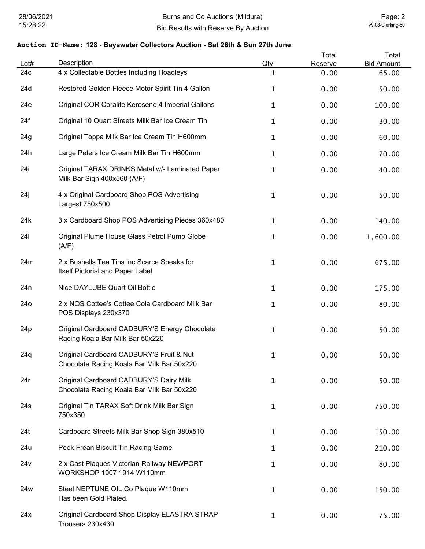| Lot#            | Description                                                                            | Qty          | Total<br>Reserve | Total<br><b>Bid Amount</b> |
|-----------------|----------------------------------------------------------------------------------------|--------------|------------------|----------------------------|
| 24c             | 4 x Collectable Bottles Including Hoadleys                                             | 1            | 0.00             | 65.00                      |
| 24d             | Restored Golden Fleece Motor Spirit Tin 4 Gallon                                       | 1            | 0.00             | 50.00                      |
| 24e             | Original COR Coralite Kerosene 4 Imperial Gallons                                      | 1            | 0.00             | 100.00                     |
| 24f             | Original 10 Quart Streets Milk Bar Ice Cream Tin                                       | 1            | 0.00             | 30.00                      |
| 24g             | Original Toppa Milk Bar Ice Cream Tin H600mm                                           | $\mathbf{1}$ | 0.00             | 60.00                      |
| 24h             | Large Peters Ice Cream Milk Bar Tin H600mm                                             | 1            | 0.00             | 70.00                      |
| 24i             | Original TARAX DRINKS Metal w/- Laminated Paper<br>Milk Bar Sign 400x560 (A/F)         | 1            | 0.00             | 40.00                      |
| 24j             | 4 x Original Cardboard Shop POS Advertising<br>Largest 750x500                         | 1            | 0.00             | 50.00                      |
| 24k             | 3 x Cardboard Shop POS Advertising Pieces 360x480                                      | 1            | 0.00             | 140.00                     |
| 241             | Original Plume House Glass Petrol Pump Globe<br>(A/F)                                  | 1            | 0.00             | 1,600.00                   |
| 24m             | 2 x Bushells Tea Tins inc Scarce Speaks for<br>Itself Pictorial and Paper Label        | 1            | 0.00             | 675.00                     |
| 24 <sub>n</sub> | Nice DAYLUBE Quart Oil Bottle                                                          | $\mathbf 1$  | 0.00             | 175.00                     |
| 24 <sub>o</sub> | 2 x NOS Cottee's Cottee Cola Cardboard Milk Bar<br>POS Displays 230x370                | 1            | 0.00             | 80.00                      |
| 24 <sub>p</sub> | Original Cardboard CADBURY'S Energy Chocolate<br>Racing Koala Bar Milk Bar 50x220      | 1            | 0.00             | 50.00                      |
| 24q             | Original Cardboard CADBURY'S Fruit & Nut<br>Chocolate Racing Koala Bar Milk Bar 50x220 | 1            | 0.00             | 50.00                      |
| 24r             | Original Cardboard CADBURY'S Dairy Milk<br>Chocolate Racing Koala Bar Milk Bar 50x220  | $\mathbf{1}$ | 0.00             | 50.00                      |
| 24s             | Original Tin TARAX Soft Drink Milk Bar Sign<br>750x350                                 | 1            | 0.00             | 750.00                     |
| 24t             | Cardboard Streets Milk Bar Shop Sign 380x510                                           | $\mathbf 1$  | 0.00             | 150.00                     |
| 24u             | Peek Frean Biscuit Tin Racing Game                                                     | $\mathbf{1}$ | 0.00             | 210.00                     |
| 24v             | 2 x Cast Plaques Victorian Railway NEWPORT<br>WORKSHOP 1907 1914 W110mm                | $\mathbf{1}$ | 0.00             | 80.00                      |
| 24w             | Steel NEPTUNE OIL Co Plaque W110mm<br>Has been Gold Plated.                            | 1            | 0.00             | 150.00                     |
| 24x             | Original Cardboard Shop Display ELASTRA STRAP<br>Trousers 230x430                      | 1            | 0.00             | 75.00                      |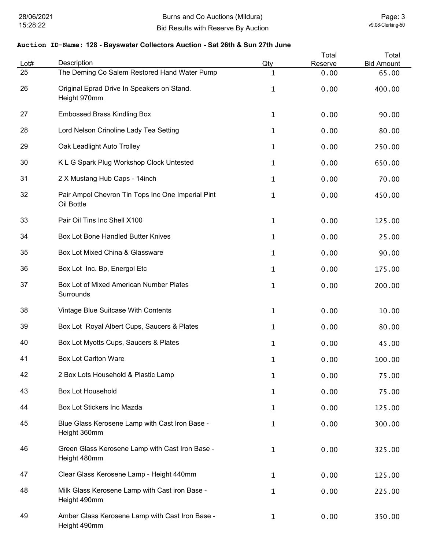| Lot# | Description                                                     | Qty          | Total<br>Reserve | Total<br><b>Bid Amount</b> |
|------|-----------------------------------------------------------------|--------------|------------------|----------------------------|
| 25   | The Deming Co Salem Restored Hand Water Pump                    | $\mathbf 1$  | 0.00             | 65.00                      |
| 26   | Original Eprad Drive In Speakers on Stand.<br>Height 970mm      | $\mathbf{1}$ | 0.00             | 400.00                     |
| 27   | <b>Embossed Brass Kindling Box</b>                              | $\mathbf 1$  | 0.00             | 90.00                      |
| 28   | Lord Nelson Crinoline Lady Tea Setting                          | $\mathbf 1$  | 0.00             | 80.00                      |
| 29   | Oak Leadlight Auto Trolley                                      | $\mathbf 1$  | 0.00             | 250.00                     |
| 30   | K L G Spark Plug Workshop Clock Untested                        | $\mathbf{1}$ | 0.00             | 650.00                     |
| 31   | 2 X Mustang Hub Caps - 14inch                                   | $\mathbf 1$  | 0.00             | 70.00                      |
| 32   | Pair Ampol Chevron Tin Tops Inc One Imperial Pint<br>Oil Bottle | $\mathbf{1}$ | 0.00             | 450.00                     |
| 33   | Pair Oil Tins Inc Shell X100                                    | $\mathbf{1}$ | 0.00             | 125.00                     |
| 34   | Box Lot Bone Handled Butter Knives                              | $\mathbf{1}$ | 0.00             | 25.00                      |
| 35   | Box Lot Mixed China & Glassware                                 | $\mathbf{1}$ | 0.00             | 90.00                      |
| 36   | Box Lot Inc. Bp, Energol Etc                                    | $\mathbf{1}$ | 0.00             | 175.00                     |
| 37   | Box Lot of Mixed American Number Plates<br>Surrounds            | $\mathbf{1}$ | 0.00             | 200.00                     |
| 38   | Vintage Blue Suitcase With Contents                             | $\mathbf 1$  | 0.00             | 10.00                      |
| 39   | Box Lot Royal Albert Cups, Saucers & Plates                     | $\mathbf 1$  | 0.00             | 80.00                      |
| 40   | Box Lot Myotts Cups, Saucers & Plates                           | 1            | 0.00             | 45.00                      |
| 41   | <b>Box Lot Carlton Ware</b>                                     | 1            | 0.00             | 100.00                     |
| 42   | 2 Box Lots Household & Plastic Lamp                             | $\mathbf 1$  | 0.00             | 75.00                      |
| 43   | <b>Box Lot Household</b>                                        | $\mathbf 1$  | 0.00             | 75.00                      |
| 44   | Box Lot Stickers Inc Mazda                                      | $\mathbf{1}$ | 0.00             | 125.00                     |
| 45   | Blue Glass Kerosene Lamp with Cast Iron Base -<br>Height 360mm  | $\mathbf{1}$ | 0.00             | 300.00                     |
| 46   | Green Glass Kerosene Lamp with Cast Iron Base -<br>Height 480mm | $\mathbf 1$  | 0.00             | 325.00                     |
| 47   | Clear Glass Kerosene Lamp - Height 440mm                        | $\mathbf{1}$ | 0.00             | 125.00                     |
| 48   | Milk Glass Kerosene Lamp with Cast iron Base -<br>Height 490mm  | $\mathbf 1$  | 0.00             | 225.00                     |
| 49   | Amber Glass Kerosene Lamp with Cast Iron Base -<br>Height 490mm | $\mathbf 1$  | 0.00             | 350.00                     |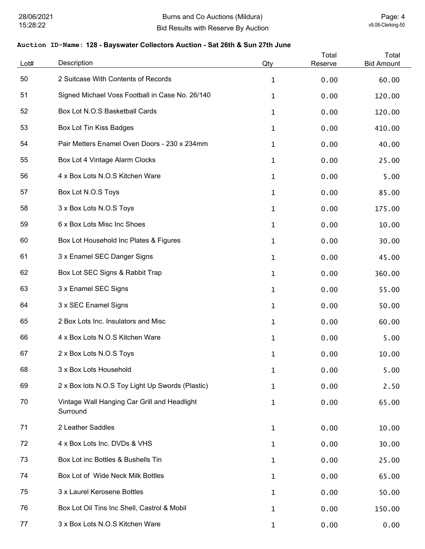| Lot# | Description                                              | Qty          | Total<br>Reserve | Total<br><b>Bid Amount</b> |
|------|----------------------------------------------------------|--------------|------------------|----------------------------|
| 50   | 2 Suitcase With Contents of Records                      | $\mathbf{1}$ | 0.00             | 60.00                      |
| 51   | Signed Michael Voss Football in Case No. 26/140          | $\mathbf{1}$ | 0.00             | 120.00                     |
| 52   | Box Lot N.O.S Basketball Cards                           | $\mathbf{1}$ | 0.00             | 120.00                     |
| 53   | <b>Box Lot Tin Kiss Badges</b>                           | 1            | 0.00             | 410.00                     |
| 54   | Pair Metters Enamel Oven Doors - 230 x 234mm             | $\mathbf{1}$ | 0.00             | 40.00                      |
| 55   | Box Lot 4 Vintage Alarm Clocks                           | $\mathbf{1}$ | 0.00             | 25.00                      |
| 56   | 4 x Box Lots N.O.S Kitchen Ware                          | $\mathbf{1}$ | 0.00             | 5.00                       |
| 57   | Box Lot N.O.S Toys                                       | $\mathbf 1$  | 0.00             | 85.00                      |
| 58   | 3 x Box Lots N.O.S Toys                                  | $\mathbf 1$  | 0.00             | 175.00                     |
| 59   | 6 x Box Lots Misc Inc Shoes                              | $\mathbf{1}$ | 0.00             | 10.00                      |
| 60   | Box Lot Household Inc Plates & Figures                   | $\mathbf{1}$ | 0.00             | 30.00                      |
| 61   | 3 x Enamel SEC Danger Signs                              | $\mathbf{1}$ | 0.00             | 45.00                      |
| 62   | Box Lot SEC Signs & Rabbit Trap                          | $\mathbf{1}$ | 0.00             | 360.00                     |
| 63   | 3 x Enamel SEC Signs                                     | $\mathbf{1}$ | 0.00             | 55.00                      |
| 64   | 3 x SEC Enamel Signs                                     | $\mathbf{1}$ | 0.00             | 50.00                      |
| 65   | 2 Box Lots Inc. Insulators and Misc                      | $\mathbf{1}$ | 0.00             | 60.00                      |
| 66   | 4 x Box Lots N.O.S Kitchen Ware                          | $\mathbf{1}$ | 0.00             | 5.00                       |
| 67   | 2 x Box Lots N.O.S Toys                                  | 1            | 0.00             | 10.00                      |
| 68   | 3 x Box Lots Household                                   | 1            | 0.00             | 5.00                       |
| 69   | 2 x Box lots N.O.S Toy Light Up Swords (Plastic)         | 1            | 0.00             | 2.50                       |
| 70   | Vintage Wall Hanging Car Grill and Headlight<br>Surround | $\mathbf{1}$ | 0.00             | 65.00                      |
| 71   | 2 Leather Saddles                                        | $\mathbf 1$  | 0.00             | 10.00                      |
| 72   | 4 x Box Lots Inc. DVDs & VHS                             | 1            | 0.00             | 30.00                      |
| 73   | Box Lot inc Bottles & Bushells Tin                       | 1            | 0.00             | 25.00                      |
| 74   | Box Lot of Wide Neck Milk Bottles                        | 1            | 0.00             | 65.00                      |
| 75   | 3 x Laurel Kerosene Bottles                              | $\mathbf{1}$ | 0.00             | 50.00                      |
| 76   | Box Lot Oil Tins Inc Shell, Castrol & Mobil              | 1            | 0.00             | 150.00                     |
| 77   | 3 x Box Lots N.O.S Kitchen Ware                          | $\mathbf{1}$ | 0.00             | 0.00                       |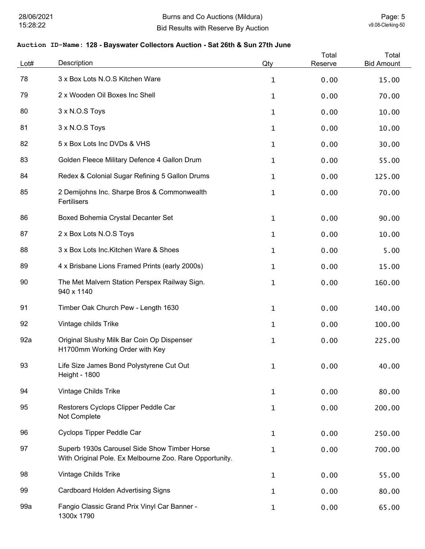| Lot# | Description                                                                                             | Qty          | Total<br>Reserve | Total<br><b>Bid Amount</b> |
|------|---------------------------------------------------------------------------------------------------------|--------------|------------------|----------------------------|
| 78   | 3 x Box Lots N.O.S Kitchen Ware                                                                         | $\mathbf{1}$ | 0.00             | 15.00                      |
| 79   | 2 x Wooden Oil Boxes Inc Shell                                                                          | $\mathbf{1}$ | 0.00             | 70.00                      |
| 80   | 3 x N.O.S Toys                                                                                          | $\mathbf{1}$ | 0.00             | 10.00                      |
| 81   | 3 x N.O.S Toys                                                                                          | $\mathbf{1}$ | 0.00             | 10.00                      |
| 82   | 5 x Box Lots Inc DVDs & VHS                                                                             | $\mathbf{1}$ | 0.00             | 30.00                      |
| 83   | Golden Fleece Military Defence 4 Gallon Drum                                                            | $\mathbf{1}$ | 0.00             | 55.00                      |
| 84   | Redex & Colonial Sugar Refining 5 Gallon Drums                                                          | $\mathbf{1}$ | 0.00             | 125.00                     |
| 85   | 2 Demijohns Inc. Sharpe Bros & Commonwealth<br>Fertilisers                                              | $\mathbf 1$  | 0.00             | 70.00                      |
| 86   | Boxed Bohemia Crystal Decanter Set                                                                      | $\mathbf{1}$ | 0.00             | 90.00                      |
| 87   | 2 x Box Lots N.O.S Toys                                                                                 | $\mathbf{1}$ | 0.00             | 10.00                      |
| 88   | 3 x Box Lots Inc. Kitchen Ware & Shoes                                                                  | $\mathbf{1}$ | 0.00             | 5.00                       |
| 89   | 4 x Brisbane Lions Framed Prints (early 2000s)                                                          | $\mathbf{1}$ | 0.00             | 15.00                      |
| 90   | The Met Malvern Station Perspex Railway Sign.<br>940 x 1140                                             | $\mathbf{1}$ | 0.00             | 160.00                     |
| 91   | Timber Oak Church Pew - Length 1630                                                                     | $\mathbf{1}$ | 0.00             | 140.00                     |
| 92   | Vintage childs Trike                                                                                    | $\mathbf{1}$ | 0.00             | 100.00                     |
| 92a  | Original Slushy Milk Bar Coin Op Dispenser<br>H1700mm Working Order with Key                            | $\mathbf{1}$ | 0.00             | 225.00                     |
| 93   | Life Size James Bond Polystyrene Cut Out<br><b>Height - 1800</b>                                        | $\mathbf 1$  | 0.00             | 40.00                      |
| 94   | Vintage Childs Trike                                                                                    | $\mathbf{1}$ | 0.00             | 80.00                      |
| 95   | Restorers Cyclops Clipper Peddle Car<br>Not Complete                                                    | $\mathbf{1}$ | 0.00             | 200.00                     |
| 96   | Cyclops Tipper Peddle Car                                                                               | $\mathbf{1}$ | 0.00             | 250.00                     |
| 97   | Superb 1930s Carousel Side Show Timber Horse<br>With Original Pole. Ex Melbourne Zoo. Rare Opportunity. | $\mathbf 1$  | 0.00             | 700.00                     |
| 98   | Vintage Childs Trike                                                                                    | $\mathbf{1}$ | 0.00             | 55.00                      |
| 99   | <b>Cardboard Holden Advertising Signs</b>                                                               | $\mathbf 1$  | 0.00             | 80.00                      |
| 99a  | Fangio Classic Grand Prix Vinyl Car Banner -<br>1300x 1790                                              | $\mathbf{1}$ | 0.00             | 65.00                      |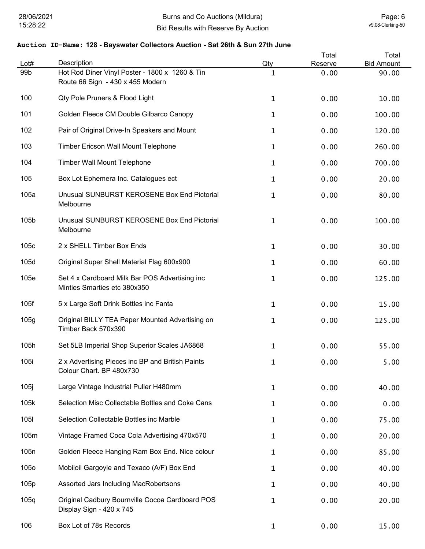| Lot#             | Description                                                                        | Qty         | Total<br>Reserve | Total<br><b>Bid Amount</b> |
|------------------|------------------------------------------------------------------------------------|-------------|------------------|----------------------------|
| 99 <sub>b</sub>  | Hot Rod Diner Vinyl Poster - 1800 x 1260 & Tin<br>Route 66 Sign - 430 x 455 Modern | 1           | 0.00             | 90.00                      |
| 100              | Qty Pole Pruners & Flood Light                                                     | 1           | 0.00             | 10.00                      |
| 101              | Golden Fleece CM Double Gilbarco Canopy                                            | 1           | 0.00             | 100.00                     |
| 102              | Pair of Original Drive-In Speakers and Mount                                       | 1           | 0.00             | 120.00                     |
| 103              | Timber Ericson Wall Mount Telephone                                                | 1           | 0.00             | 260.00                     |
| 104              | <b>Timber Wall Mount Telephone</b>                                                 | 1           | 0.00             | 700.00                     |
| 105              | Box Lot Ephemera Inc. Catalogues ect                                               | 1           | 0.00             | 20.00                      |
| 105a             | Unusual SUNBURST KEROSENE Box End Pictorial<br>Melbourne                           | $\mathbf 1$ | 0.00             | 80.00                      |
| 105b             | Unusual SUNBURST KEROSENE Box End Pictorial<br>Melbourne                           | 1           | 0.00             | 100.00                     |
| 105c             | 2 x SHELL Timber Box Ends                                                          | 1           | 0.00             | 30.00                      |
| 105d             | Original Super Shell Material Flag 600x900                                         | 1           | 0.00             | 60.00                      |
| 105e             | Set 4 x Cardboard Milk Bar POS Advertising inc<br>Minties Smarties etc 380x350     | $\mathbf 1$ | 0.00             | 125.00                     |
| 105f             | 5 x Large Soft Drink Bottles inc Fanta                                             | 1           | 0.00             | 15.00                      |
| 105g             | Original BILLY TEA Paper Mounted Advertising on<br>Timber Back 570x390             | 1           | 0.00             | 125.00                     |
| 105h             | Set 5LB Imperial Shop Superior Scales JA6868                                       | 1           | 0.00             | 55.00                      |
| 105i             | 2 x Advertising Pieces inc BP and British Paints<br>Colour Chart. BP 480x730       |             | 0.00             | 5.00                       |
| 105j             | Large Vintage Industrial Puller H480mm                                             | 1           | 0.00             | 40.00                      |
| 105k             | Selection Misc Collectable Bottles and Coke Cans                                   | 1           | 0.00             | 0.00                       |
| 1051             | Selection Collectable Bottles inc Marble                                           | 1           | 0.00             | 75.00                      |
| 105m             | Vintage Framed Coca Cola Advertising 470x570                                       | 1           | 0.00             | 20.00                      |
| 105 <sub>n</sub> | Golden Fleece Hanging Ram Box End. Nice colour                                     | 1           | 0.00             | 85.00                      |
| 105o             | Mobiloil Gargoyle and Texaco (A/F) Box End                                         | 1           | 0.00             | 40.00                      |
| 105p             | Assorted Jars Including MacRobertsons                                              | 1           | 0.00             | 40.00                      |
| 105q             | Original Cadbury Bournville Cocoa Cardboard POS<br>Display Sign - 420 x 745        | 1           | 0.00             | 20.00                      |
| 106              | Box Lot of 78s Records                                                             | 1           | 0.00             | 15.00                      |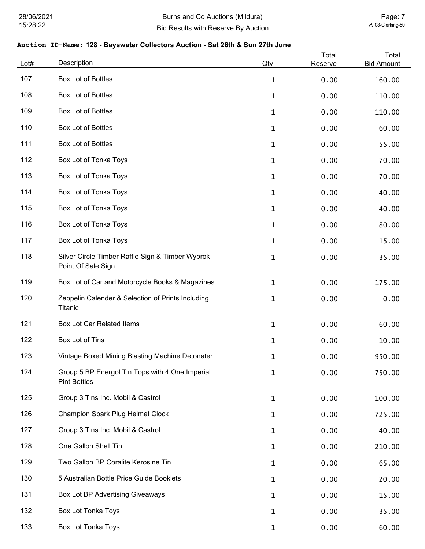| Lot# | Description                                                            | Qty          | Total<br>Reserve | Total<br><b>Bid Amount</b> |
|------|------------------------------------------------------------------------|--------------|------------------|----------------------------|
| 107  | Box Lot of Bottles                                                     | $\mathbf{1}$ | 0.00             | 160.00                     |
| 108  | Box Lot of Bottles                                                     | 1            | 0.00             | 110.00                     |
| 109  | Box Lot of Bottles                                                     | 1            | 0.00             | 110.00                     |
| 110  | <b>Box Lot of Bottles</b>                                              | 1            | 0.00             | 60.00                      |
| 111  | Box Lot of Bottles                                                     | 1            | 0.00             | 55.00                      |
| 112  | Box Lot of Tonka Toys                                                  | 1            | 0.00             | 70.00                      |
| 113  | Box Lot of Tonka Toys                                                  | 1            | 0.00             | 70.00                      |
| 114  | Box Lot of Tonka Toys                                                  | 1            | 0.00             | 40.00                      |
| 115  | Box Lot of Tonka Toys                                                  | $\mathbf{1}$ | 0.00             | 40.00                      |
| 116  | Box Lot of Tonka Toys                                                  | $\mathbf{1}$ | 0.00             | 80.00                      |
| 117  | Box Lot of Tonka Toys                                                  | $\mathbf{1}$ | 0.00             | 15.00                      |
| 118  | Silver Circle Timber Raffle Sign & Timber Wybrok<br>Point Of Sale Sign | 1            | 0.00             | 35.00                      |
| 119  | Box Lot of Car and Motorcycle Books & Magazines                        | 1            | 0.00             | 175.00                     |
| 120  | Zeppelin Calender & Selection of Prints Including<br>Titanic           | 1            | 0.00             | 0.00                       |
| 121  | <b>Box Lot Car Related Items</b>                                       | $\mathbf 1$  | 0.00             | 60.00                      |
| 122  | Box Lot of Tins                                                        | 1            | 0.00             | 10.00                      |
| 123  | Vintage Boxed Mining Blasting Machine Detonater                        | 1            | 0.00             | 950.00                     |
| 124  | Group 5 BP Energol Tin Tops with 4 One Imperial<br><b>Pint Bottles</b> | $\mathbf{1}$ | 0.00             | 750.00                     |
| 125  | Group 3 Tins Inc. Mobil & Castrol                                      | 1            | 0.00             | 100.00                     |
| 126  | <b>Champion Spark Plug Helmet Clock</b>                                | $\mathbf{1}$ | 0.00             | 725.00                     |
| 127  | Group 3 Tins Inc. Mobil & Castrol                                      | 1            | 0.00             | 40.00                      |
| 128  | One Gallon Shell Tin                                                   | $\mathbf{1}$ | 0.00             | 210.00                     |
| 129  | Two Gallon BP Coralite Kerosine Tin                                    | $\mathbf{1}$ | 0.00             | 65.00                      |
| 130  | 5 Australian Bottle Price Guide Booklets                               | $\mathbf{1}$ | 0.00             | 20.00                      |
| 131  | Box Lot BP Advertising Giveaways                                       | $\mathbf{1}$ | 0.00             | 15.00                      |
| 132  | <b>Box Lot Tonka Toys</b>                                              | 1            | 0.00             | 35.00                      |
| 133  | Box Lot Tonka Toys                                                     | 1            | 0.00             | 60.00                      |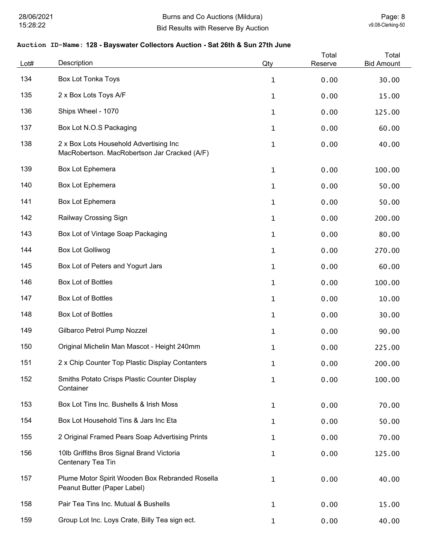| Lot# | Description                                                                            | Qty          | Total<br>Reserve | Total<br><b>Bid Amount</b> |
|------|----------------------------------------------------------------------------------------|--------------|------------------|----------------------------|
| 134  | <b>Box Lot Tonka Toys</b>                                                              | $\mathbf 1$  | 0.00             | 30.00                      |
| 135  | 2 x Box Lots Toys A/F                                                                  | $\mathbf 1$  | 0.00             | 15.00                      |
| 136  | Ships Wheel - 1070                                                                     | $\mathbf 1$  | 0.00             | 125.00                     |
| 137  | Box Lot N.O.S Packaging                                                                | 1            | 0.00             | 60.00                      |
| 138  | 2 x Box Lots Household Advertising Inc<br>MacRobertson. MacRobertson Jar Cracked (A/F) | $\mathbf 1$  | 0.00             | 40.00                      |
| 139  | Box Lot Ephemera                                                                       | 1            | 0.00             | 100.00                     |
| 140  | Box Lot Ephemera                                                                       | 1            | 0.00             | 50.00                      |
| 141  | Box Lot Ephemera                                                                       | 1            | 0.00             | 50.00                      |
| 142  | Railway Crossing Sign                                                                  | $\mathbf 1$  | 0.00             | 200.00                     |
| 143  | Box Lot of Vintage Soap Packaging                                                      | $\mathbf 1$  | 0.00             | 80.00                      |
| 144  | <b>Box Lot Golliwog</b>                                                                | $\mathbf 1$  | 0.00             | 270.00                     |
| 145  | Box Lot of Peters and Yogurt Jars                                                      | $\mathbf 1$  | 0.00             | 60.00                      |
| 146  | Box Lot of Bottles                                                                     | $\mathbf{1}$ | 0.00             | 100.00                     |
| 147  | Box Lot of Bottles                                                                     | $\mathbf 1$  | 0.00             | 10.00                      |
| 148  | Box Lot of Bottles                                                                     | $\mathbf 1$  | 0.00             | 30.00                      |
| 149  | Gilbarco Petrol Pump Nozzel                                                            | $\mathbf 1$  | 0.00             | 90.00                      |
| 150  | Original Michelin Man Mascot - Height 240mm                                            | $\mathbf 1$  | 0.00             | 225.00                     |
| 151  | 2 x Chip Counter Top Plastic Display Contanters                                        | 1            | 0.00             | 200.00                     |
| 152  | Smiths Potato Crisps Plastic Counter Display<br>Container                              | $\mathbf{1}$ | 0.00             | 100.00                     |
| 153  | Box Lot Tins Inc. Bushells & Irish Moss                                                | $\mathbf 1$  | 0.00             | 70.00                      |
| 154  | Box Lot Household Tins & Jars Inc Eta                                                  | $\mathbf{1}$ | 0.00             | 50.00                      |
| 155  | 2 Original Framed Pears Soap Advertising Prints                                        | $\mathbf{1}$ | 0.00             | 70.00                      |
| 156  | 10lb Griffiths Bros Signal Brand Victoria<br>Centenary Tea Tin                         | $\mathbf 1$  | 0.00             | 125.00                     |
| 157  | Plume Motor Spirit Wooden Box Rebranded Rosella<br>Peanut Butter (Paper Label)         | $\mathbf{1}$ | 0.00             | 40.00                      |
| 158  | Pair Tea Tins Inc. Mutual & Bushells                                                   | 1            | 0.00             | 15.00                      |
| 159  | Group Lot Inc. Loys Crate, Billy Tea sign ect.                                         | $\mathbf{1}$ | 0.00             | 40.00                      |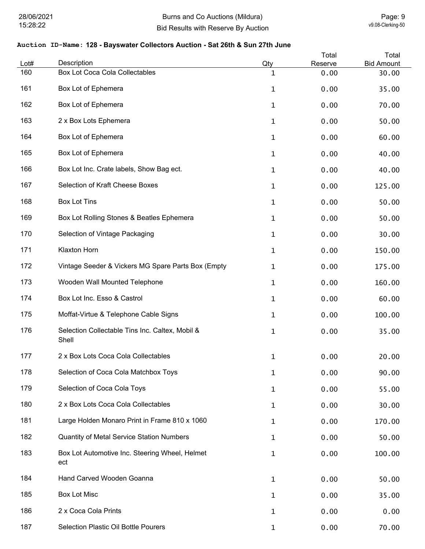| Lot# | Description                                              | Qty          | Total<br>Reserve | Total<br><b>Bid Amount</b> |
|------|----------------------------------------------------------|--------------|------------------|----------------------------|
| 160  | Box Lot Coca Cola Collectables                           | $\mathbf 1$  | 0.00             | 30.00                      |
| 161  | Box Lot of Ephemera                                      | $\mathbf 1$  | 0.00             | 35.00                      |
| 162  | Box Lot of Ephemera                                      | $\mathbf{1}$ | 0.00             | 70.00                      |
| 163  | 2 x Box Lots Ephemera                                    | $\mathbf 1$  | 0.00             | 50.00                      |
| 164  | Box Lot of Ephemera                                      | $\mathbf 1$  | 0.00             | 60.00                      |
| 165  | Box Lot of Ephemera                                      | 1            | 0.00             | 40.00                      |
| 166  | Box Lot Inc. Crate labels, Show Bag ect.                 | 1            | 0.00             | 40.00                      |
| 167  | Selection of Kraft Cheese Boxes                          | $\mathbf 1$  | 0.00             | 125.00                     |
| 168  | <b>Box Lot Tins</b>                                      | $\mathbf 1$  | 0.00             | 50.00                      |
| 169  | Box Lot Rolling Stones & Beatles Ephemera                | $\mathbf 1$  | 0.00             | 50.00                      |
| 170  | Selection of Vintage Packaging                           | $\mathbf{1}$ | 0.00             | 30.00                      |
| 171  | <b>Klaxton Horn</b>                                      | $\mathbf 1$  | 0.00             | 150.00                     |
| 172  | Vintage Seeder & Vickers MG Spare Parts Box (Empty       | $\mathbf{1}$ | 0.00             | 175.00                     |
| 173  | Wooden Wall Mounted Telephone                            | $\mathbf{1}$ | 0.00             | 160.00                     |
| 174  | Box Lot Inc. Esso & Castrol                              | 1            | 0.00             | 60.00                      |
| 175  | Moffat-Virtue & Telephone Cable Signs                    | $\mathbf{1}$ | 0.00             | 100.00                     |
| 176  | Selection Collectable Tins Inc. Caltex, Mobil &<br>Shell | 1            | 0.00             | 35.00                      |
| 177  | 2 x Box Lots Coca Cola Collectables                      | $\mathbf 1$  | 0.00             | 20.00                      |
| 178  | Selection of Coca Cola Matchbox Toys                     | 1            | 0.00             | 90.00                      |
| 179  | Selection of Coca Cola Toys                              | 1            | 0.00             | 55.00                      |
| 180  | 2 x Box Lots Coca Cola Collectables                      | $\mathbf{1}$ | 0.00             | 30.00                      |
| 181  | Large Holden Monaro Print in Frame 810 x 1060            | $\mathbf 1$  | 0.00             | 170.00                     |
| 182  | <b>Quantity of Metal Service Station Numbers</b>         | $\mathbf 1$  | 0.00             | 50.00                      |
| 183  | Box Lot Automotive Inc. Steering Wheel, Helmet<br>ect    | $\mathbf 1$  | 0.00             | 100.00                     |
| 184  | Hand Carved Wooden Goanna                                | $\mathbf 1$  | 0.00             | 50.00                      |
| 185  | <b>Box Lot Misc</b>                                      | $\mathbf 1$  | 0.00             | 35.00                      |
| 186  | 2 x Coca Cola Prints                                     | 1            | 0.00             | 0.00                       |
| 187  | Selection Plastic Oil Bottle Pourers                     | 1            | 0.00             | 70.00                      |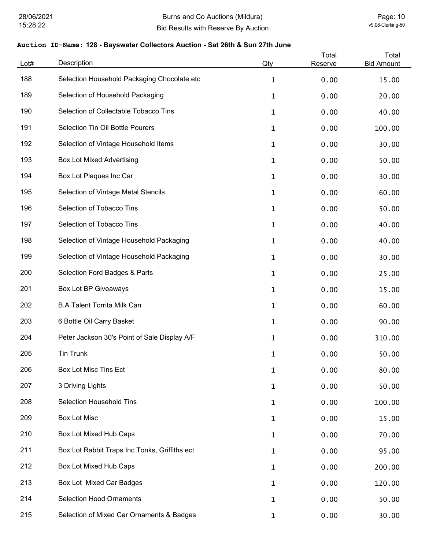| Lot# | Description                                   | Qty          | Total<br>Reserve | Total<br><b>Bid Amount</b> |
|------|-----------------------------------------------|--------------|------------------|----------------------------|
| 188  | Selection Household Packaging Chocolate etc   | $\mathbf{1}$ | 0.00             | 15.00                      |
| 189  | Selection of Household Packaging              | $\mathbf{1}$ | 0.00             | 20.00                      |
| 190  | Selection of Collectable Tobacco Tins         | 1            | 0.00             | 40.00                      |
| 191  | Selection Tin Oil Bottle Pourers              | 1            | 0.00             | 100.00                     |
| 192  | Selection of Vintage Household Items          | $\mathbf 1$  | 0.00             | 30.00                      |
| 193  | <b>Box Lot Mixed Advertising</b>              | $\mathbf 1$  | 0.00             | 50.00                      |
| 194  | Box Lot Plaques Inc Car                       | $\mathbf 1$  | 0.00             | 30.00                      |
| 195  | Selection of Vintage Metal Stencils           | $\mathbf 1$  | 0.00             | 60.00                      |
| 196  | Selection of Tobacco Tins                     | $\mathbf 1$  | 0.00             | 50.00                      |
| 197  | Selection of Tobacco Tins                     | $\mathbf 1$  | 0.00             | 40.00                      |
| 198  | Selection of Vintage Household Packaging      | $\mathbf 1$  | 0.00             | 40.00                      |
| 199  | Selection of Vintage Household Packaging      | $\mathbf 1$  | 0.00             | 30.00                      |
| 200  | Selection Ford Badges & Parts                 | $\mathbf 1$  | 0.00             | 25.00                      |
| 201  | <b>Box Lot BP Giveaways</b>                   | 1            | 0.00             | 15.00                      |
| 202  | <b>B.A Talent Torrita Milk Can</b>            | $\mathbf{1}$ | 0.00             | 60.00                      |
| 203  | 6 Bottle Oil Carry Basket                     | 1            | 0.00             | 90.00                      |
| 204  | Peter Jackson 30's Point of Sale Display A/F  | 1            | 0.00             | 310.00                     |
| 205  | <b>Tin Trunk</b>                              | 1            | 0.00             | 50.00                      |
| 206  | <b>Box Lot Misc Tins Ect</b>                  | $\mathbf 1$  | 0.00             | 80.00                      |
| 207  | 3 Driving Lights                              | 1            | 0.00             | 50.00                      |
| 208  | <b>Selection Household Tins</b>               | $\mathbf 1$  | 0.00             | 100.00                     |
| 209  | <b>Box Lot Misc</b>                           | 1            | 0.00             | 15.00                      |
| 210  | Box Lot Mixed Hub Caps                        | 1            | 0.00             | 70.00                      |
| 211  | Box Lot Rabbit Traps Inc Tonks, Griffiths ect | 1            | 0.00             | 95.00                      |
| 212  | Box Lot Mixed Hub Caps                        | $\mathbf{1}$ | 0.00             | 200.00                     |
| 213  | Box Lot Mixed Car Badges                      | $\mathbf{1}$ | 0.00             | 120.00                     |
| 214  | <b>Selection Hood Ornaments</b>               | $\mathbf{1}$ | 0.00             | 50.00                      |
| 215  | Selection of Mixed Car Ornaments & Badges     | $\mathbf{1}$ | 0.00             | 30.00                      |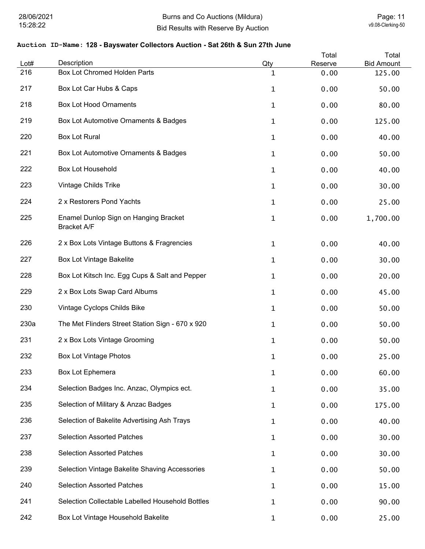| Lot# | Description                                                 | Qty          | Total<br>Reserve | Total<br><b>Bid Amount</b> |
|------|-------------------------------------------------------------|--------------|------------------|----------------------------|
| 216  | Box Lot Chromed Holden Parts                                | 1            | 0.00             | 125.00                     |
| 217  | Box Lot Car Hubs & Caps                                     | 1            | 0.00             | 50.00                      |
| 218  | <b>Box Lot Hood Ornaments</b>                               | $\mathbf{1}$ | 0.00             | 80.00                      |
| 219  | Box Lot Automotive Ornaments & Badges                       | 1            | 0.00             | 125.00                     |
| 220  | <b>Box Lot Rural</b>                                        | $\mathbf{1}$ | 0.00             | 40.00                      |
| 221  | Box Lot Automotive Ornaments & Badges                       | 1            | 0.00             | 50.00                      |
| 222  | <b>Box Lot Household</b>                                    | 1            | 0.00             | 40.00                      |
| 223  | Vintage Childs Trike                                        | 1            | 0.00             | 30.00                      |
| 224  | 2 x Restorers Pond Yachts                                   | 1            | 0.00             | 25.00                      |
| 225  | Enamel Dunlop Sign on Hanging Bracket<br><b>Bracket A/F</b> | 1            | 0.00             | 1,700.00                   |
| 226  | 2 x Box Lots Vintage Buttons & Fragrencies                  | 1            | 0.00             | 40.00                      |
| 227  | <b>Box Lot Vintage Bakelite</b>                             | $\mathbf{1}$ | 0.00             | 30.00                      |
| 228  | Box Lot Kitsch Inc. Egg Cups & Salt and Pepper              | 1            | 0.00             | 20.00                      |
| 229  | 2 x Box Lots Swap Card Albums                               | 1            | 0.00             | 45.00                      |
| 230  | Vintage Cyclops Childs Bike                                 | $\mathbf{1}$ | 0.00             | 50.00                      |
| 230a | The Met Flinders Street Station Sign - 670 x 920            | $\mathbf{1}$ | 0.00             | 50.00                      |
| 231  | 2 x Box Lots Vintage Grooming                               | 1            | 0.00             | 50.00                      |
| 232  | <b>Box Lot Vintage Photos</b>                               | 1            | 0.00             | 25.00                      |
| 233  | Box Lot Ephemera                                            | 1            | 0.00             | 60.00                      |
| 234  | Selection Badges Inc. Anzac, Olympics ect.                  | $\mathbf{1}$ | 0.00             | 35.00                      |
| 235  | Selection of Military & Anzac Badges                        | $\mathbf{1}$ | 0.00             | 175.00                     |
| 236  | Selection of Bakelite Advertising Ash Trays                 | $\mathbf{1}$ | 0.00             | 40.00                      |
| 237  | <b>Selection Assorted Patches</b>                           | $\mathbf{1}$ | 0.00             | 30.00                      |
| 238  | <b>Selection Assorted Patches</b>                           | $\mathbf{1}$ | 0.00             | 30.00                      |
| 239  | Selection Vintage Bakelite Shaving Accessories              | $\mathbf{1}$ | 0.00             | 50.00                      |
| 240  | <b>Selection Assorted Patches</b>                           | $\mathbf{1}$ | 0.00             | 15.00                      |
| 241  | Selection Collectable Labelled Household Bottles            | 1            | 0.00             | 90.00                      |
| 242  | Box Lot Vintage Household Bakelite                          | $\mathbf{1}$ | 0.00             | 25.00                      |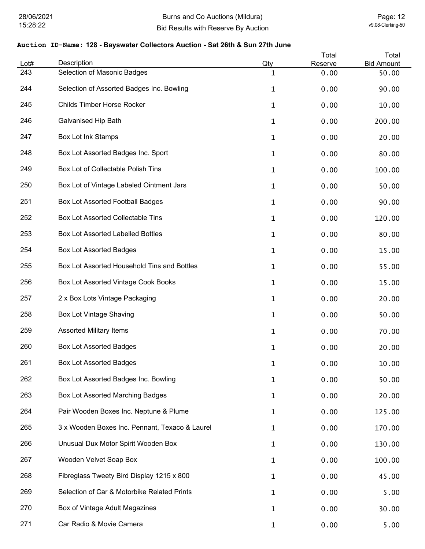| Lot# | Description                                    | Qty          | Total<br>Reserve | Total<br><b>Bid Amount</b> |
|------|------------------------------------------------|--------------|------------------|----------------------------|
| 243  | Selection of Masonic Badges                    | 1            | 0.00             | 50.00                      |
| 244  | Selection of Assorted Badges Inc. Bowling      | 1            | 0.00             | 90.00                      |
| 245  | Childs Timber Horse Rocker                     | $\mathbf{1}$ | 0.00             | 10.00                      |
| 246  | <b>Galvanised Hip Bath</b>                     | $\mathbf{1}$ | 0.00             | 200.00                     |
| 247  | <b>Box Lot Ink Stamps</b>                      | $\mathbf{1}$ | 0.00             | 20.00                      |
| 248  | Box Lot Assorted Badges Inc. Sport             | $\mathbf{1}$ | 0.00             | 80.00                      |
| 249  | Box Lot of Collectable Polish Tins             | 1            | 0.00             | 100.00                     |
| 250  | Box Lot of Vintage Labeled Ointment Jars       | $\mathbf{1}$ | 0.00             | 50.00                      |
| 251  | Box Lot Assorted Football Badges               | $\mathbf{1}$ | 0.00             | 90.00                      |
| 252  | <b>Box Lot Assorted Collectable Tins</b>       | $\mathbf{1}$ | 0.00             | 120.00                     |
| 253  | <b>Box Lot Assorted Labelled Bottles</b>       | $\mathbf{1}$ | 0.00             | 80.00                      |
| 254  | <b>Box Lot Assorted Badges</b>                 | $\mathbf{1}$ | 0.00             | 15.00                      |
| 255  | Box Lot Assorted Household Tins and Bottles    | $\mathbf{1}$ | 0.00             | 55.00                      |
| 256  | Box Lot Assorted Vintage Cook Books            | $\mathbf{1}$ | 0.00             | 15.00                      |
| 257  | 2 x Box Lots Vintage Packaging                 | 1            | 0.00             | 20.00                      |
| 258  | <b>Box Lot Vintage Shaving</b>                 | $\mathbf{1}$ | 0.00             | 50.00                      |
| 259  | <b>Assorted Military Items</b>                 | $\mathbf{1}$ | 0.00             | 70.00                      |
| 260  | <b>Box Lot Assorted Badges</b>                 | 1            | 0.00             | 20.00                      |
| 261  | <b>Box Lot Assorted Badges</b>                 | 1            | 0.00             | 10.00                      |
| 262  | Box Lot Assorted Badges Inc. Bowling           | $\mathbf{1}$ | 0.00             | 50.00                      |
| 263  | Box Lot Assorted Marching Badges               | $\mathbf{1}$ | 0.00             | 20.00                      |
| 264  | Pair Wooden Boxes Inc. Neptune & Plume         | $\mathbf{1}$ | 0.00             | 125.00                     |
| 265  | 3 x Wooden Boxes Inc. Pennant, Texaco & Laurel | $\mathbf{1}$ | 0.00             | 170.00                     |
| 266  | Unusual Dux Motor Spirit Wooden Box            | $\mathbf{1}$ | 0.00             | 130.00                     |
| 267  | Wooden Velvet Soap Box                         | $\mathbf{1}$ | 0.00             | 100.00                     |
| 268  | Fibreglass Tweety Bird Display 1215 x 800      | $\mathbf 1$  | 0.00             | 45.00                      |
| 269  | Selection of Car & Motorbike Related Prints    | $\mathbf{1}$ | 0.00             | 5.00                       |
| 270  | Box of Vintage Adult Magazines                 | $\mathbf{1}$ | 0.00             | 30.00                      |
| 271  | Car Radio & Movie Camera                       | $\mathbf{1}$ | 0.00             | 5.00                       |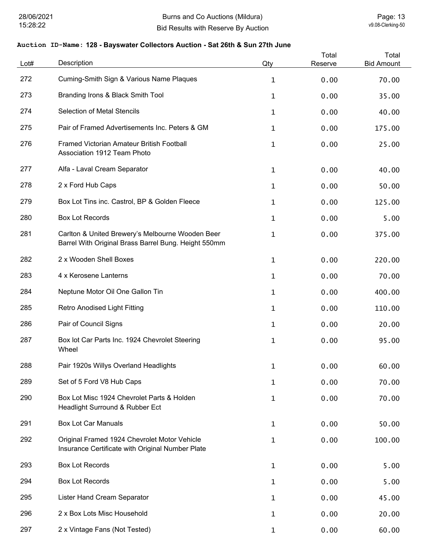| Lot# | Description                                                                                              | Qty          | Total<br>Reserve | Total<br><b>Bid Amount</b> |
|------|----------------------------------------------------------------------------------------------------------|--------------|------------------|----------------------------|
| 272  | Cuming-Smith Sign & Various Name Plaques                                                                 | $\mathbf{1}$ | 0.00             | 70.00                      |
| 273  | Branding Irons & Black Smith Tool                                                                        | 1            | 0.00             | 35.00                      |
| 274  | <b>Selection of Metal Stencils</b>                                                                       | 1            | 0.00             | 40.00                      |
| 275  | Pair of Framed Advertisements Inc. Peters & GM                                                           | 1            | 0.00             | 175.00                     |
| 276  | <b>Framed Victorian Amateur British Football</b><br>Association 1912 Team Photo                          | 1            | 0.00             | 25.00                      |
| 277  | Alfa - Laval Cream Separator                                                                             | 1            | 0.00             | 40.00                      |
| 278  | 2 x Ford Hub Caps                                                                                        | 1            | 0.00             | 50.00                      |
| 279  | Box Lot Tins inc. Castrol, BP & Golden Fleece                                                            | 1            | 0.00             | 125.00                     |
| 280  | <b>Box Lot Records</b>                                                                                   | 1            | 0.00             | 5.00                       |
| 281  | Carlton & United Brewery's Melbourne Wooden Beer<br>Barrel With Original Brass Barrel Bung. Height 550mm | 1            | 0.00             | 375.00                     |
| 282  | 2 x Wooden Shell Boxes                                                                                   | 1            | 0.00             | 220.00                     |
| 283  | 4 x Kerosene Lanterns                                                                                    | 1            | 0.00             | 70.00                      |
| 284  | Neptune Motor Oil One Gallon Tin                                                                         | 1            | 0.00             | 400.00                     |
| 285  | <b>Retro Anodised Light Fitting</b>                                                                      | 1            | 0.00             | 110.00                     |
| 286  | Pair of Council Signs                                                                                    | 1            | 0.00             | 20.00                      |
| 287  | Box lot Car Parts Inc. 1924 Chevrolet Steering<br>Wheel                                                  | 1            | 0.00             | 95.00                      |
| 288  | Pair 1920s Willys Overland Headlights                                                                    | 1            | 0.00             | 60.00                      |
| 289  | Set of 5 Ford V8 Hub Caps                                                                                | 1            | 0.00             | 70.00                      |
| 290  | Box Lot Misc 1924 Chevrolet Parts & Holden<br>Headlight Surround & Rubber Ect                            | $\mathbf{1}$ | 0.00             | 70.00                      |
| 291  | <b>Box Lot Car Manuals</b>                                                                               | 1            | 0.00             | 50.00                      |
| 292  | Original Framed 1924 Chevrolet Motor Vehicle<br>Insurance Certificate with Original Number Plate         | $\mathbf{1}$ | 0.00             | 100.00                     |
| 293  | <b>Box Lot Records</b>                                                                                   | 1            | 0.00             | 5.00                       |
| 294  | <b>Box Lot Records</b>                                                                                   | 1            | 0.00             | 5.00                       |
| 295  | Lister Hand Cream Separator                                                                              | 1            | 0.00             | 45.00                      |
| 296  | 2 x Box Lots Misc Household                                                                              | $\mathbf 1$  | 0.00             | 20.00                      |
| 297  | 2 x Vintage Fans (Not Tested)                                                                            | 1            | 0.00             | 60.00                      |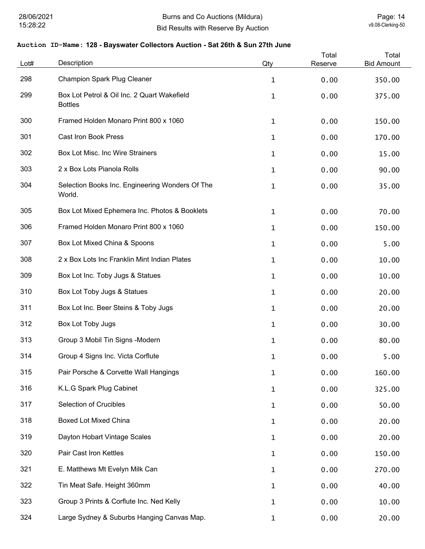| Lot# | Description                                                   | Qty          | Total<br>Reserve | Total<br><b>Bid Amount</b> |
|------|---------------------------------------------------------------|--------------|------------------|----------------------------|
| 298  | <b>Champion Spark Plug Cleaner</b>                            | $\mathbf{1}$ | 0.00             | 350.00                     |
| 299  | Box Lot Petrol & Oil Inc. 2 Quart Wakefield<br><b>Bottles</b> | $\mathbf{1}$ | 0.00             | 375.00                     |
| 300  | Framed Holden Monaro Print 800 x 1060                         | $\mathbf{1}$ | 0.00             | 150.00                     |
| 301  | <b>Cast Iron Book Press</b>                                   | 1            | 0.00             | 170.00                     |
| 302  | Box Lot Misc. Inc Wire Strainers                              | $\mathbf 1$  | 0.00             | 15.00                      |
| 303  | 2 x Box Lots Pianola Rolls                                    | 1            | 0.00             | 90.00                      |
| 304  | Selection Books Inc. Engineering Wonders Of The<br>World.     | $\mathbf 1$  | 0.00             | 35.00                      |
| 305  | Box Lot Mixed Ephemera Inc. Photos & Booklets                 | $\mathbf 1$  | 0.00             | 70.00                      |
| 306  | Framed Holden Monaro Print 800 x 1060                         | 1            | 0.00             | 150.00                     |
| 307  | Box Lot Mixed China & Spoons                                  | 1            | 0.00             | 5.00                       |
| 308  | 2 x Box Lots Inc Franklin Mint Indian Plates                  | $\mathbf{1}$ | 0.00             | 10.00                      |
| 309  | Box Lot Inc. Toby Jugs & Statues                              | $\mathbf{1}$ | 0.00             | 10.00                      |
| 310  | Box Lot Toby Jugs & Statues                                   | $\mathbf{1}$ | 0.00             | 20.00                      |
| 311  | Box Lot Inc. Beer Steins & Toby Jugs                          | 1            | 0.00             | 20.00                      |
| 312  | Box Lot Toby Jugs                                             | $\mathbf{1}$ | 0.00             | 30.00                      |
| 313  | Group 3 Mobil Tin Signs -Modern                               | 1            | 0.00             | 80.00                      |
| 314  | Group 4 Signs Inc. Victa Corflute                             | 1            | 0.00             | 5.00                       |
| 315  | Pair Porsche & Corvette Wall Hangings                         | 1            | 0.00             | 160.00                     |
| 316  | K.L.G Spark Plug Cabinet                                      | $\mathbf{1}$ | 0.00             | 325.00                     |
| 317  | Selection of Crucibles                                        | $\mathbf{1}$ | 0.00             | 50.00                      |
| 318  | <b>Boxed Lot Mixed China</b>                                  | $\mathbf{1}$ | 0.00             | 20.00                      |
| 319  | Dayton Hobart Vintage Scales                                  | $\mathbf{1}$ | 0.00             | 20.00                      |
| 320  | Pair Cast Iron Kettles                                        | $\mathbf{1}$ | 0.00             | 150.00                     |
| 321  | E. Matthews Mt Evelyn Milk Can                                | $\mathbf{1}$ | 0.00             | 270.00                     |
| 322  | Tin Meat Safe. Height 360mm                                   | $\mathbf{1}$ | 0.00             | 40.00                      |
| 323  | Group 3 Prints & Corflute Inc. Ned Kelly                      | $\mathbf{1}$ | 0.00             | 10.00                      |
| 324  | Large Sydney & Suburbs Hanging Canvas Map.                    | 1            | 0.00             | 20.00                      |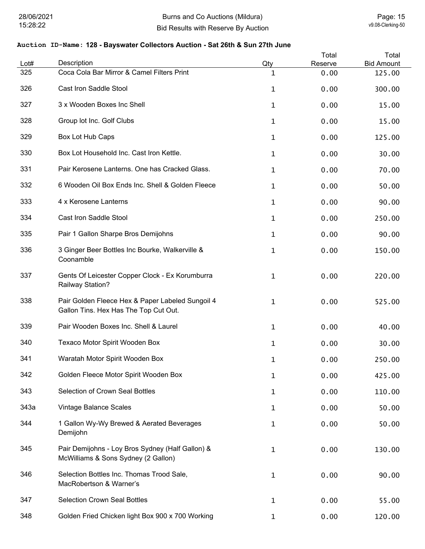| Lot# | Description                                                                               | Qty | Total<br>Reserve | Total<br><b>Bid Amount</b> |
|------|-------------------------------------------------------------------------------------------|-----|------------------|----------------------------|
| 325  | Coca Cola Bar Mirror & Camel Filters Print                                                | 1   | 0.00             | 125.00                     |
| 326  | Cast Iron Saddle Stool                                                                    | 1   | 0.00             | 300.00                     |
| 327  | 3 x Wooden Boxes Inc Shell                                                                | 1   | 0.00             | 15.00                      |
| 328  | Group lot Inc. Golf Clubs                                                                 | 1   | 0.00             | 15.00                      |
| 329  | Box Lot Hub Caps                                                                          | 1   | 0.00             | 125.00                     |
| 330  | Box Lot Household Inc. Cast Iron Kettle.                                                  | 1   | 0.00             | 30.00                      |
| 331  | Pair Kerosene Lanterns. One has Cracked Glass.                                            | 1   | 0.00             | 70.00                      |
| 332  | 6 Wooden Oil Box Ends Inc. Shell & Golden Fleece                                          | 1   | 0.00             | 50.00                      |
| 333  | 4 x Kerosene Lanterns                                                                     | 1   | 0.00             | 90.00                      |
| 334  | Cast Iron Saddle Stool                                                                    | 1   | 0.00             | 250.00                     |
| 335  | Pair 1 Gallon Sharpe Bros Demijohns                                                       | 1   | 0.00             | 90.00                      |
| 336  | 3 Ginger Beer Bottles Inc Bourke, Walkerville &<br>Coonamble                              | 1   | 0.00             | 150.00                     |
| 337  | Gents Of Leicester Copper Clock - Ex Korumburra<br>Railway Station?                       | 1   | 0.00             | 220.00                     |
| 338  | Pair Golden Fleece Hex & Paper Labeled Sungoil 4<br>Gallon Tins. Hex Has The Top Cut Out. | 1   | 0.00             | 525.00                     |
| 339  | Pair Wooden Boxes Inc. Shell & Laurel                                                     | 1   | 0.00             | 40.00                      |
| 340  | Texaco Motor Spirit Wooden Box                                                            | 1   | 0.00             | 30.00                      |
| 341  | Waratah Motor Spirit Wooden Box                                                           | 1   | 0.00             | 250.00                     |
| 342  | Golden Fleece Motor Spirit Wooden Box                                                     | 1   | 0.00             | 425.00                     |
| 343  | Selection of Crown Seal Bottles                                                           | 1   | 0.00             | 110.00                     |
| 343a | Vintage Balance Scales                                                                    | 1   | 0.00             | 50.00                      |
| 344  | 1 Gallon Wy-Wy Brewed & Aerated Beverages<br>Demijohn                                     | 1   | 0.00             | 50.00                      |
| 345  | Pair Demijohns - Loy Bros Sydney (Half Gallon) &<br>McWilliams & Sons Sydney (2 Gallon)   | 1   | 0.00             | 130.00                     |
| 346  | Selection Bottles Inc. Thomas Trood Sale,<br>MacRobertson & Warner's                      | 1   | 0.00             | 90.00                      |
| 347  | <b>Selection Crown Seal Bottles</b>                                                       | 1   | 0.00             | 55.00                      |
| 348  | Golden Fried Chicken light Box 900 x 700 Working                                          | 1   | 0.00             | 120.00                     |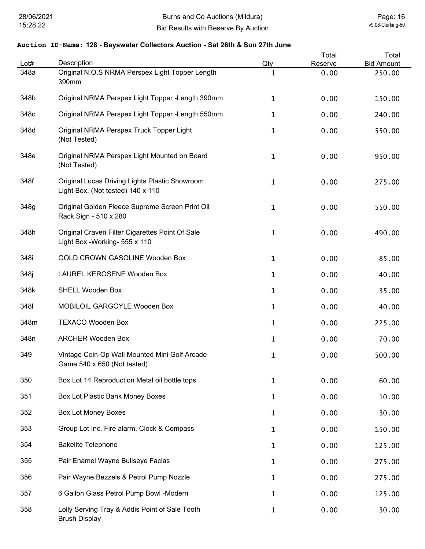| Lot# | Description                                                                         | Qty          | Total<br>Reserve | Total<br><b>Bid Amount</b> |
|------|-------------------------------------------------------------------------------------|--------------|------------------|----------------------------|
| 348a | Original N.O.S NRMA Perspex Light Topper Length<br>390mm                            | 1            | 0.00             | 250.00                     |
| 348b | Original NRMA Perspex Light Topper - Length 390mm                                   | 1            | 0.00             | 150.00                     |
| 348c | Original NRMA Perspex Light Topper - Length 550mm                                   | 1            | 0.00             | 240.00                     |
| 348d | Original NRMA Perspex Truck Topper Light<br>(Not Tested)                            | 1            | 0.00             | 550.00                     |
| 348e | Original NRMA Perspex Light Mounted on Board<br>(Not Tested)                        | 1            | 0.00             | 950.00                     |
| 348f | Original Lucas Driving Lights Plastic Showroom<br>Light Box. (Not tested) 140 x 110 | 1            | 0.00             | 275.00                     |
| 348g | Original Golden Fleece Supreme Screen Print Oil<br>Rack Sign - 510 x 280            | 1            | 0.00             | 550.00                     |
| 348h | Original Craven Filter Cigarettes Point Of Sale<br>Light Box - Working- 555 x 110   | $\mathbf{1}$ | 0.00             | 490.00                     |
| 348i | GOLD CROWN GASOLINE Wooden Box                                                      | $\mathbf{1}$ | 0.00             | 85.00                      |
| 348j | LAUREL KEROSENE Wooden Box                                                          | 1            | 0.00             | 40.00                      |
| 348k | <b>SHELL Wooden Box</b>                                                             | 1            | 0.00             | 35.00                      |
| 3481 | MOBILOIL GARGOYLE Wooden Box                                                        | 1            | 0.00             | 40.00                      |
| 348m | <b>TEXACO Wooden Box</b>                                                            | 1            | 0.00             | 225.00                     |
| 348n | <b>ARCHER Wooden Box</b>                                                            | 1            | 0.00             | 70.00                      |
| 349  | Vintage Coin-Op Wall Mounted Mini Golf Arcade<br>Game 540 x 650 (Not tested)        | 1            | 0.00             | 500.00                     |
| 350  | Box Lot 14 Reproduction Metal oil bottle tops                                       | 1            | 0.00             | 60.00                      |
| 351  | Box Lot Plastic Bank Money Boxes                                                    | 1            | 0.00             | 10.00                      |
| 352  | <b>Box Lot Money Boxes</b>                                                          | 1            | 0.00             | 30.00                      |
| 353  | Group Lot Inc. Fire alarm, Clock & Compass                                          | 1            | 0.00             | 150.00                     |
| 354  | <b>Bakelite Telephone</b>                                                           | 1            | 0.00             | 125.00                     |
| 355  | Pair Enamel Wayne Bullseye Facias                                                   | 1            | 0.00             | 275.00                     |
| 356  | Pair Wayne Bezzels & Petrol Pump Nozzle                                             | 1            | 0.00             | 275.00                     |
| 357  | 6 Gallon Glass Petrol Pump Bowl -Modern                                             | 1            | 0.00             | 125.00                     |
| 358  | Lolly Serving Tray & Addis Point of Sale Tooth<br><b>Brush Display</b>              | 1            | 0.00             | 30.00                      |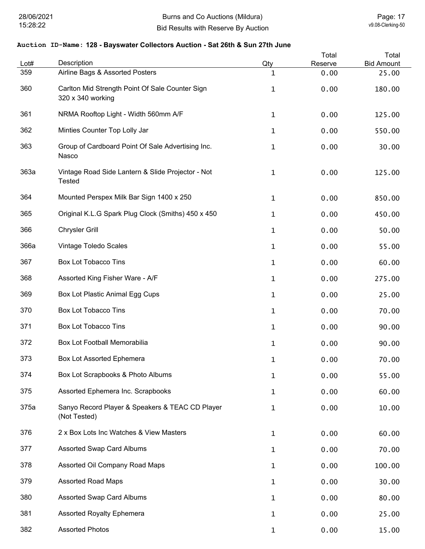| Lot# | Description                                                          | Qty          | Total<br>Reserve | Total<br><b>Bid Amount</b> |
|------|----------------------------------------------------------------------|--------------|------------------|----------------------------|
| 359  | Airline Bags & Assorted Posters                                      | 1            | 0.00             | 25.00                      |
| 360  | Carlton Mid Strength Point Of Sale Counter Sign<br>320 x 340 working | $\mathbf{1}$ | 0.00             | 180.00                     |
| 361  | NRMA Rooftop Light - Width 560mm A/F                                 | $\mathbf{1}$ | 0.00             | 125.00                     |
| 362  | Minties Counter Top Lolly Jar                                        | $\mathbf{1}$ | 0.00             | 550.00                     |
| 363  | Group of Cardboard Point Of Sale Advertising Inc.<br>Nasco           | 1            | 0.00             | 30.00                      |
| 363a | Vintage Road Side Lantern & Slide Projector - Not<br><b>Tested</b>   | $\mathbf 1$  | 0.00             | 125.00                     |
| 364  | Mounted Perspex Milk Bar Sign 1400 x 250                             | $\mathbf{1}$ | 0.00             | 850.00                     |
| 365  | Original K.L.G Spark Plug Clock (Smiths) 450 x 450                   | 1            | 0.00             | 450.00                     |
| 366  | <b>Chrysler Grill</b>                                                | 1            | 0.00             | 50.00                      |
| 366a | Vintage Toledo Scales                                                | $\mathbf{1}$ | 0.00             | 55.00                      |
| 367  | <b>Box Lot Tobacco Tins</b>                                          | 1            | 0.00             | 60.00                      |
| 368  | Assorted King Fisher Ware - A/F                                      | 1            | 0.00             | 275.00                     |
| 369  | Box Lot Plastic Animal Egg Cups                                      | 1            | 0.00             | 25.00                      |
| 370  | <b>Box Lot Tobacco Tins</b>                                          | $\mathbf 1$  | 0.00             | 70.00                      |
| 371  | <b>Box Lot Tobacco Tins</b>                                          | $\mathbf 1$  | 0.00             | 90.00                      |
| 372  | Box Lot Football Memorabilia                                         | $\mathbf 1$  | 0.00             | 90.00                      |
| 373  | Box Lot Assorted Ephemera                                            | 1            | 0.00             | 70.00                      |
| 374  | Box Lot Scrapbooks & Photo Albums                                    | $\mathbf 1$  | 0.00             | 55.00                      |
| 375  | Assorted Ephemera Inc. Scrapbooks                                    | $\mathbf 1$  | 0.00             | 60.00                      |
| 375a | Sanyo Record Player & Speakers & TEAC CD Player<br>(Not Tested)      | $\mathbf 1$  | 0.00             | 10.00                      |
| 376  | 2 x Box Lots Inc Watches & View Masters                              | 1            | 0.00             | 60.00                      |
| 377  | <b>Assorted Swap Card Albums</b>                                     | 1            | 0.00             | 70.00                      |
| 378  | Assorted Oil Company Road Maps                                       | 1            | 0.00             | 100.00                     |
| 379  | <b>Assorted Road Maps</b>                                            | 1            | 0.00             | 30.00                      |
| 380  | <b>Assorted Swap Card Albums</b>                                     | $\mathbf 1$  | 0.00             | 80.00                      |
| 381  | <b>Assorted Royalty Ephemera</b>                                     | 1            | 0.00             | 25.00                      |
| 382  | <b>Assorted Photos</b>                                               | $\mathbf{1}$ | 0.00             | 15.00                      |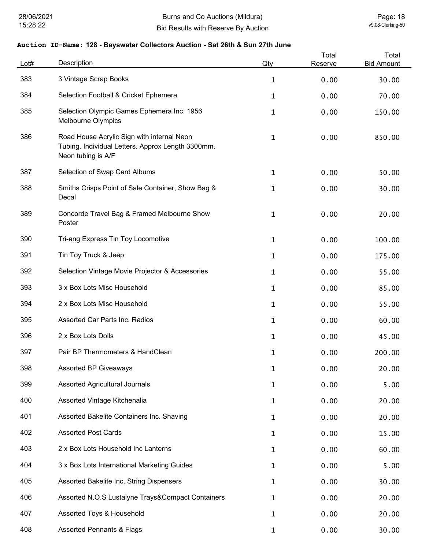| Lot# | Description                                                                                                           | Qty          | Total<br>Reserve | Total<br><b>Bid Amount</b> |
|------|-----------------------------------------------------------------------------------------------------------------------|--------------|------------------|----------------------------|
| 383  | 3 Vintage Scrap Books                                                                                                 | $\mathbf{1}$ | 0.00             | 30.00                      |
| 384  | Selection Football & Cricket Ephemera                                                                                 | 1            | 0.00             | 70.00                      |
| 385  | Selection Olympic Games Ephemera Inc. 1956<br>Melbourne Olympics                                                      | 1            | 0.00             | 150.00                     |
| 386  | Road House Acrylic Sign with internal Neon<br>Tubing. Individual Letters. Approx Length 3300mm.<br>Neon tubing is A/F | $\mathbf 1$  | 0.00             | 850.00                     |
| 387  | Selection of Swap Card Albums                                                                                         | 1            | 0.00             | 50.00                      |
| 388  | Smiths Crisps Point of Sale Container, Show Bag &<br>Decal                                                            | 1            | 0.00             | 30.00                      |
| 389  | Concorde Travel Bag & Framed Melbourne Show<br>Poster                                                                 | 1            | 0.00             | 20.00                      |
| 390  | Tri-ang Express Tin Toy Locomotive                                                                                    | 1            | 0.00             | 100.00                     |
| 391  | Tin Toy Truck & Jeep                                                                                                  | 1            | 0.00             | 175.00                     |
| 392  | Selection Vintage Movie Projector & Accessories                                                                       | 1            | 0.00             | 55.00                      |
| 393  | 3 x Box Lots Misc Household                                                                                           | 1            | 0.00             | 85.00                      |
| 394  | 2 x Box Lots Misc Household                                                                                           | 1            | 0.00             | 55.00                      |
| 395  | Assorted Car Parts Inc. Radios                                                                                        | 1            | 0.00             | 60.00                      |
| 396  | 2 x Box Lots Dolls                                                                                                    | 1            | 0.00             | 45.00                      |
| 397  | Pair BP Thermometers & HandClean                                                                                      | 1            | 0.00             | 200.00                     |
| 398  | <b>Assorted BP Giveaways</b>                                                                                          | $\mathbf 1$  | 0.00             | 20.00                      |
| 399  | Assorted Agricultural Journals                                                                                        | 1            | 0.00             | 5.00                       |
| 400  | Assorted Vintage Kitchenalia                                                                                          | 1            | 0.00             | 20.00                      |
| 401  | Assorted Bakelite Containers Inc. Shaving                                                                             | 1            | 0.00             | 20.00                      |
| 402  | <b>Assorted Post Cards</b>                                                                                            | 1            | 0.00             | 15.00                      |
| 403  | 2 x Box Lots Household Inc Lanterns                                                                                   | 1            | 0.00             | 60.00                      |
| 404  | 3 x Box Lots International Marketing Guides                                                                           | 1            | 0.00             | 5.00                       |
| 405  | Assorted Bakelite Inc. String Dispensers                                                                              | 1            | 0.00             | 30.00                      |
| 406  | Assorted N.O.S Lustalyne Trays&Compact Containers                                                                     | 1            | 0.00             | 20.00                      |
| 407  | Assorted Toys & Household                                                                                             | 1            | 0.00             | 20.00                      |
| 408  | <b>Assorted Pennants &amp; Flags</b>                                                                                  | 1            | 0.00             | 30.00                      |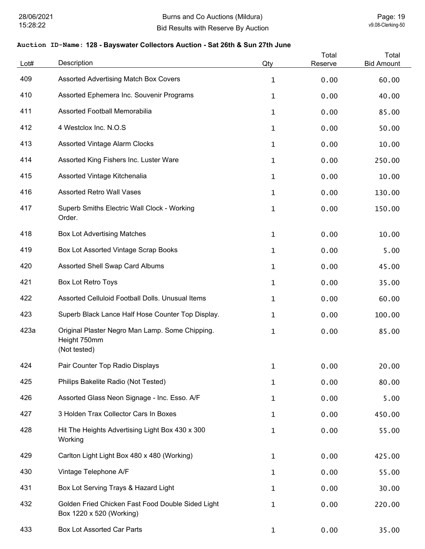| Lot# | Description                                                                     | Qty          | Total<br>Reserve | Total<br><b>Bid Amount</b> |
|------|---------------------------------------------------------------------------------|--------------|------------------|----------------------------|
| 409  | Assorted Advertising Match Box Covers                                           | $\mathbf{1}$ | 0.00             | 60.00                      |
| 410  | Assorted Ephemera Inc. Souvenir Programs                                        | 1            | 0.00             | 40.00                      |
| 411  | Assorted Football Memorabilia                                                   | 1            | 0.00             | 85.00                      |
| 412  | 4 Westclox Inc. N.O.S                                                           | 1            | 0.00             | 50.00                      |
| 413  | <b>Assorted Vintage Alarm Clocks</b>                                            | 1            | 0.00             | 10.00                      |
| 414  | Assorted King Fishers Inc. Luster Ware                                          | 1            | 0.00             | 250.00                     |
| 415  | Assorted Vintage Kitchenalia                                                    | 1            | 0.00             | 10.00                      |
| 416  | <b>Assorted Retro Wall Vases</b>                                                | 1            | 0.00             | 130.00                     |
| 417  | Superb Smiths Electric Wall Clock - Working<br>Order.                           | $\mathbf 1$  | 0.00             | 150.00                     |
| 418  | <b>Box Lot Advertising Matches</b>                                              | 1            | 0.00             | 10.00                      |
| 419  | Box Lot Assorted Vintage Scrap Books                                            | 1            | 0.00             | 5.00                       |
| 420  | Assorted Shell Swap Card Albums                                                 | $\mathbf{1}$ | 0.00             | 45.00                      |
| 421  | Box Lot Retro Toys                                                              | $\mathbf{1}$ | 0.00             | 35.00                      |
| 422  | Assorted Celluloid Football Dolls. Unusual Items                                | 1            | 0.00             | 60.00                      |
| 423  | Superb Black Lance Half Hose Counter Top Display.                               | $\mathbf{1}$ | 0.00             | 100.00                     |
| 423a | Original Plaster Negro Man Lamp. Some Chipping.<br>Height 750mm<br>(Not tested) | 1            | 0.00             | 85.00                      |
| 424  | Pair Counter Top Radio Displays                                                 | 1            | 0.00             | 20.00                      |
| 425  | Philips Bakelite Radio (Not Tested)                                             | 1            | 0.00             | 80.00                      |
| 426  | Assorted Glass Neon Signage - Inc. Esso. A/F                                    | 1            | 0.00             | 5.00                       |
| 427  | 3 Holden Trax Collector Cars In Boxes                                           | 1            | 0.00             | 450.00                     |
| 428  | Hit The Heights Advertising Light Box 430 x 300<br>Working                      | 1            | 0.00             | 55.00                      |
| 429  | Carlton Light Light Box 480 x 480 (Working)                                     | 1            | 0.00             | 425.00                     |
| 430  | Vintage Telephone A/F                                                           | 1            | 0.00             | 55.00                      |
| 431  | Box Lot Serving Trays & Hazard Light                                            | 1            | 0.00             | 30.00                      |
| 432  | Golden Fried Chicken Fast Food Double Sided Light<br>Box 1220 x 520 (Working)   | 1            | 0.00             | 220.00                     |
| 433  | <b>Box Lot Assorted Car Parts</b>                                               | 1            | 0.00             | 35.00                      |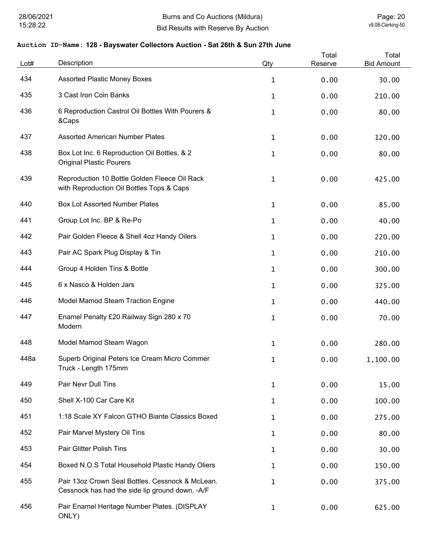| Lot# | Description                                                                                          | Qty          | Total<br>Reserve | Total<br><b>Bid Amount</b> |
|------|------------------------------------------------------------------------------------------------------|--------------|------------------|----------------------------|
| 434  | <b>Assorted Plastic Money Boxes</b>                                                                  | $\mathbf{1}$ | 0.00             | 30.00                      |
| 435  | 3 Cast Iron Coin Banks                                                                               | $\mathbf 1$  | 0.00             | 210.00                     |
| 436  | 6 Reproduction Castrol Oil Bottles With Pourers &<br>&Caps                                           | $\mathbf 1$  | 0.00             | 80.00                      |
| 437  | <b>Assorted American Number Plates</b>                                                               | $\mathbf{1}$ | 0.00             | 120.00                     |
| 438  | Box Lot Inc. 6 Reproduction Oil Bottles, & 2<br><b>Original Plastic Pourers</b>                      | $\mathbf 1$  | 0.00             | 80.00                      |
| 439  | Reproduction 10 Bottle Golden Fleece Oil Rack<br>with Reproduction Oil Bottles Tops & Caps           | $\mathbf{1}$ | 0.00             | 425.00                     |
| 440  | <b>Box Lot Assorted Number Plates</b>                                                                | $\mathbf{1}$ | 0.00             | 85.00                      |
| 441  | Group Lot Inc. BP & Re-Po                                                                            | $\mathbf{1}$ | 0.00             | 40.00                      |
| 442  | Pair Golden Fleece & Shell 4oz Handy Oilers                                                          | $\mathbf 1$  | 0.00             | 220.00                     |
| 443  | Pair AC Spark Plug Display & Tin                                                                     | $\mathbf 1$  | 0.00             | 210.00                     |
| 444  | Group 4 Holden Tins & Bottle                                                                         | $\mathbf{1}$ | 0.00             | 300.00                     |
| 445  | 6 x Nasco & Holden Jars                                                                              | $\mathbf{1}$ | 0.00             | 325.00                     |
| 446  | Model Mamod Steam Traction Engine                                                                    | $\mathbf 1$  | 0.00             | 440.00                     |
| 447  | Enamel Penalty £20 Railway Sign 280 x 70<br>Modern                                                   | $\mathbf 1$  | 0.00             | 70.00                      |
| 448  | Model Mamod Steam Wagon                                                                              | $\mathbf 1$  | 0.00             | 280.00                     |
| 448a | Superb Original Peters Ice Cream Micro Commer<br>Truck - Length 175mm                                | 1            | 0.00             | 1,100.00                   |
| 449  | Pair Nevr Dull Tins                                                                                  | $\mathbf{1}$ | 0.00             | 15.00                      |
| 450  | Shell X-100 Car Care Kit                                                                             | 1            | 0.00             | 100.00                     |
| 451  | 1:18 Scale XY Falcon GTHO Biante Classics Boxed                                                      | 1            | 0.00             | 275.00                     |
| 452  | Pair Marvel Mystery Oil Tins                                                                         | $\mathbf 1$  | 0.00             | 80.00                      |
| 453  | Pair Glitter Polish Tins                                                                             | $\mathbf 1$  | 0.00             | 30.00                      |
| 454  | Boxed N.O.S Total Household Plastic Handy Oliers                                                     | $\mathbf 1$  | 0.00             | 150.00                     |
| 455  | Pair 13oz Crown Seal Bottles. Cessnock & McLean.<br>Cessnock has had the side lip ground down. - A/F | $\mathbf{1}$ | 0.00             | 375.00                     |
| 456  | Pair Enamel Heritage Number Plates. (DISPLAY<br>ONLY)                                                | $\mathbf{1}$ | 0.00             | 625.00                     |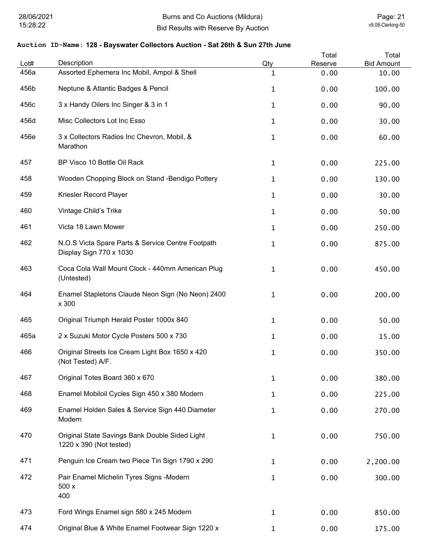| Lot# | Description                                                                  | Qty          | Total<br>Reserve | Total<br><b>Bid Amount</b> |
|------|------------------------------------------------------------------------------|--------------|------------------|----------------------------|
| 456a | Assorted Ephemera Inc Mobil, Ampol & Shell                                   | 1            | 0.00             | 10.00                      |
| 456b | Neptune & Atlantic Badges & Pencil                                           | 1            | 0.00             | 100.00                     |
| 456c | 3 x Handy Oilers Inc Singer & 3 in 1                                         | 1            | 0.00             | 90.00                      |
| 456d | Misc Collectors Lot Inc Esso                                                 | 1            | 0.00             | 30.00                      |
| 456e | 3 x Collectors Radios Inc Chevron, Mobil, &<br>Marathon                      | 1            | 0.00             | 60.00                      |
| 457  | BP Visco 10 Bottle Oil Rack                                                  | 1            | 0.00             | 225.00                     |
| 458  | Wooden Chopping Block on Stand -Bendigo Pottery                              | $\mathbf{1}$ | 0.00             | 130.00                     |
| 459  | Kriesler Record Player                                                       | 1            | 0.00             | 30.00                      |
| 460  | Vintage Child's Trike                                                        | 1            | 0.00             | 50.00                      |
| 461  | Victa 18 Lawn Mower                                                          | 1            | 0.00             | 250.00                     |
| 462  | N.O.S Victa Spare Parts & Service Centre Footpath<br>Display Sign 770 x 1030 | 1            | 0.00             | 875.00                     |
| 463  | Coca Cola Wall Mount Clock - 440mm American Plug<br>(Untested)               | 1            | 0.00             | 450.00                     |
| 464  | Enamel Stapletons Claude Neon Sign (No Neon) 2400<br>x 300                   | 1            | 0.00             | 200.00                     |
| 465  | Original Triumph Herald Poster 1000x 840                                     | 1            | 0.00             | 50.00                      |
| 465a | 2 x Suzuki Motor Cycle Posters 500 x 730                                     | 1            | 0.00             | 15.00                      |
| 466  | Original Streets Ice Cream Light Box 1650 x 420<br>(Not Tested) A/F.         | 1            | 0.00             | 350.00                     |
| 467  | Original Totes Board 360 x 670                                               | 1            | 0.00             | 380.00                     |
| 468  | Enamel Mobiloil Cycles Sign 450 x 380 Modern                                 | $\mathbf{1}$ | 0.00             | 225.00                     |
| 469  | Enamel Holden Sales & Service Sign 440 Diameter<br>Modern                    | 1            | 0.00             | 270.00                     |
| 470  | Original State Savings Bank Double Sided Light<br>1220 x 390 (Not tested)    | 1            | 0.00             | 750.00                     |
| 471  | Penguin Ice Cream two Piece Tin Sign 1790 x 290                              | 1            | 0.00             | 2,200.00                   |
| 472  | Pair Enamel Michelin Tyres Signs -Modern<br>500 x<br>400                     | 1            | 0.00             | 300.00                     |
| 473  | Ford Wings Enamel sign 580 x 245 Modern                                      | 1            | 0.00             | 850.00                     |
| 474  | Original Blue & White Enamel Footwear Sign 1220 x                            | $\mathbf{1}$ | 0.00             | 175.00                     |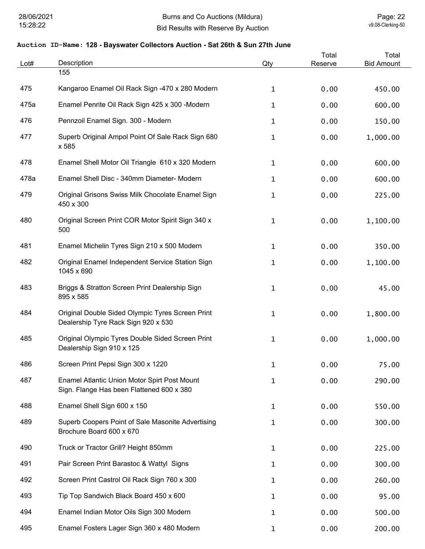| Lot# | Description                                                                               | Qty          | Total<br>Reserve | Total<br><b>Bid Amount</b> |
|------|-------------------------------------------------------------------------------------------|--------------|------------------|----------------------------|
|      | 155                                                                                       |              |                  |                            |
| 475  | Kangaroo Enamel Oil Rack Sign -470 x 280 Modern                                           | 1            | 0.00             | 450.00                     |
| 475a | Enamel Penrite Oil Rack Sign 425 x 300 -Modern                                            | 1            | 0.00             | 600.00                     |
| 476  | Pennzoil Enamel Sign. 300 - Modern                                                        | 1            | 0.00             | 150.00                     |
| 477  | Superb Original Ampol Point Of Sale Rack Sign 680<br>x 585                                | 1            | 0.00             | 1,000.00                   |
| 478  | Enamel Shell Motor Oil Triangle 610 x 320 Modern                                          | 1            | 0.00             | 600.00                     |
| 478a | Enamel Shell Disc - 340mm Diameter- Modern                                                | 1            | 0.00             | 600.00                     |
| 479  | Original Grisons Swiss Milk Chocolate Enamel Sign<br>450 x 300                            | 1            | 0.00             | 225.00                     |
| 480  | Original Screen Print COR Motor Spirit Sign 340 x<br>500                                  | 1            | 0.00             | 1,100.00                   |
| 481  | Enamel Michelin Tyres Sign 210 x 500 Modern                                               | 1            | 0.00             | 350.00                     |
| 482  | Original Enamel Independent Service Station Sign<br>1045 x 690                            | 1            | 0.00             | 1,100.00                   |
| 483  | Briggs & Stratton Screen Print Dealership Sign<br>895 x 585                               | 1            | 0.00             | 45.00                      |
| 484  | Original Double Sided Olympic Tyres Screen Print<br>Dealership Tyre Rack Sign 920 x 530   | 1            | 0.00             | 1,800.00                   |
| 485  | Original Olympic Tyres Double Sided Screen Print<br>Dealership Sign 910 x 125             | 1            | 0.00             | 1,000.00                   |
| 486  | Screen Print Pepsi Sign 300 x 1220                                                        | 1            | 0.00             | 75.00                      |
| 487  | Enamel Atlantic Union Motor Spirt Post Mount<br>Sign. Flange Has been Flattened 600 x 380 | $\mathbf{1}$ | 0.00             | 290.00                     |
| 488  | Enamel Shell Sign 600 x 150                                                               | 1            | 0.00             | 550.00                     |
| 489  | Superb Coopers Point of Sale Masonite Advertising<br>Brochure Board 600 x 670             | $\mathbf{1}$ | 0.00             | 300.00                     |
| 490  | Truck or Tractor Grill? Height 850mm                                                      | 1            | 0.00             | 225.00                     |
| 491  | Pair Screen Print Barastoc & Wattyl Signs                                                 | 1            | 0.00             | 300.00                     |
| 492  | Screen Print Castrol Oil Rack Sign 760 x 300                                              | 1            | 0.00             | 260.00                     |
| 493  | Tip Top Sandwich Black Board 450 x 600                                                    | 1            | 0.00             | 95.00                      |
| 494  | Enamel Indian Motor Oils Sign 300 Modern                                                  | 1            | 0.00             | 500.00                     |
| 495  | Enamel Fosters Lager Sign 360 x 480 Modern                                                | 1            | 0.00             | 200.00                     |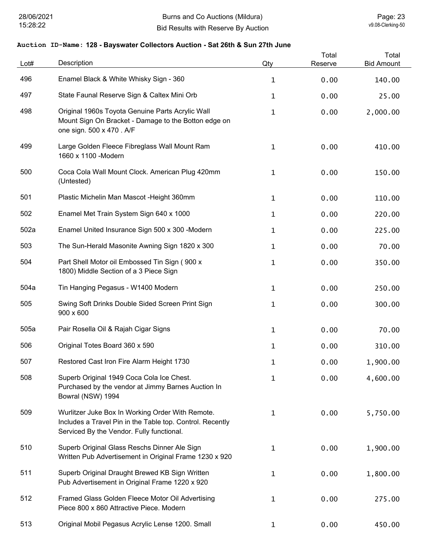| Lot# | Description                                                                                                                                                | Qty | Total<br>Reserve | Total<br><b>Bid Amount</b> |
|------|------------------------------------------------------------------------------------------------------------------------------------------------------------|-----|------------------|----------------------------|
| 496  | Enamel Black & White Whisky Sign - 360                                                                                                                     | 1   | 0.00             | 140.00                     |
| 497  | State Faunal Reserve Sign & Caltex Mini Orb                                                                                                                | 1   | 0.00             | 25.00                      |
| 498  | Original 1960s Toyota Genuine Parts Acrylic Wall<br>Mount Sign On Bracket - Damage to the Botton edge on<br>one sign. 500 x 470 . A/F                      | 1   | 0.00             | 2,000.00                   |
| 499  | Large Golden Fleece Fibreglass Wall Mount Ram<br>1660 x 1100 - Modern                                                                                      | 1   | 0.00             | 410.00                     |
| 500  | Coca Cola Wall Mount Clock. American Plug 420mm<br>(Untested)                                                                                              | 1   | 0.00             | 150.00                     |
| 501  | Plastic Michelin Man Mascot - Height 360mm                                                                                                                 | 1   | 0.00             | 110.00                     |
| 502  | Enamel Met Train System Sign 640 x 1000                                                                                                                    | 1   | 0.00             | 220.00                     |
| 502a | Enamel United Insurance Sign 500 x 300 -Modern                                                                                                             | 1   | 0.00             | 225.00                     |
| 503  | The Sun-Herald Masonite Awning Sign 1820 x 300                                                                                                             | 1   | 0.00             | 70.00                      |
| 504  | Part Shell Motor oil Embossed Tin Sign (900 x<br>1800) Middle Section of a 3 Piece Sign                                                                    | 1   | 0.00             | 350.00                     |
| 504a | Tin Hanging Pegasus - W1400 Modern                                                                                                                         | 1   | 0.00             | 250.00                     |
| 505  | Swing Soft Drinks Double Sided Screen Print Sign<br>900 x 600                                                                                              | 1   | 0.00             | 300.00                     |
| 505a | Pair Rosella Oil & Rajah Cigar Signs                                                                                                                       | 1   | 0.00             | 70.00                      |
| 506  | Original Totes Board 360 x 590                                                                                                                             | 1   | 0.00             | 310.00                     |
| 507  | Restored Cast Iron Fire Alarm Height 1730                                                                                                                  | 1   | 0.00             | 1,900.00                   |
| 508  | Superb Original 1949 Coca Cola Ice Chest.<br>Purchased by the vendor at Jimmy Barnes Auction In<br>Bowral (NSW) 1994                                       | 1   | 0.00             | 4,600.00                   |
| 509  | Wurlitzer Juke Box In Working Order With Remote.<br>Includes a Travel Pin in the Table top. Control. Recently<br>Serviced By the Vendor. Fully functional. | 1   | 0.00             | 5,750.00                   |
| 510  | Superb Original Glass Reschs Dinner Ale Sign<br>Written Pub Advertisement in Original Frame 1230 x 920                                                     | 1   | 0.00             | 1,900.00                   |
| 511  | Superb Original Draught Brewed KB Sign Written<br>Pub Advertisement in Original Frame 1220 x 920                                                           | 1   | 0.00             | 1,800.00                   |
| 512  | Framed Glass Golden Fleece Motor Oil Advertising<br>Piece 800 x 860 Attractive Piece. Modern                                                               | 1   | 0.00             | 275.00                     |
| 513  | Original Mobil Pegasus Acrylic Lense 1200. Small                                                                                                           | 1   | 0.00             | 450.00                     |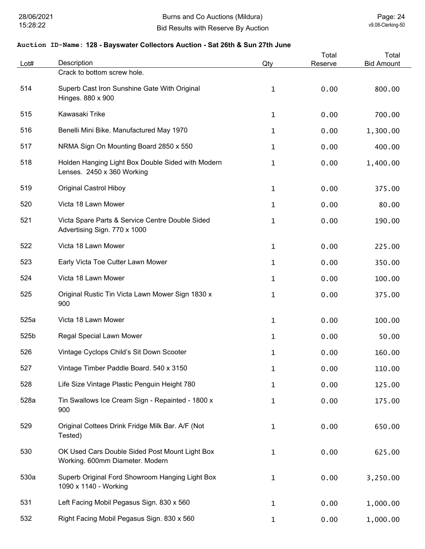| Lot# | Description                                                                       | Qty          | Total<br>Reserve | Total<br><b>Bid Amount</b> |
|------|-----------------------------------------------------------------------------------|--------------|------------------|----------------------------|
|      | Crack to bottom screw hole.                                                       |              |                  |                            |
| 514  | Superb Cast Iron Sunshine Gate With Original<br>Hinges. 880 x 900                 | 1            | 0.00             | 800.00                     |
| 515  | Kawasaki Trike                                                                    | 1            | 0.00             | 700.00                     |
| 516  | Benelli Mini Bike. Manufactured May 1970                                          | 1            | 0.00             | 1,300.00                   |
| 517  | NRMA Sign On Mounting Board 2850 x 550                                            | 1            | 0.00             | 400.00                     |
| 518  | Holden Hanging Light Box Double Sided with Modern<br>Lenses. 2450 x 360 Working   | 1            | 0.00             | 1,400.00                   |
| 519  | <b>Original Castrol Hiboy</b>                                                     | 1            | 0.00             | 375.00                     |
| 520  | Victa 18 Lawn Mower                                                               | 1            | 0.00             | 80.00                      |
| 521  | Victa Spare Parts & Service Centre Double Sided<br>Advertising Sign. 770 x 1000   | 1            | 0.00             | 190.00                     |
| 522  | Victa 18 Lawn Mower                                                               | $\mathbf{1}$ | 0.00             | 225.00                     |
| 523  | Early Victa Toe Cutter Lawn Mower                                                 | 1            | 0.00             | 350.00                     |
| 524  | Victa 18 Lawn Mower                                                               | 1            | 0.00             | 100.00                     |
| 525  | Original Rustic Tin Victa Lawn Mower Sign 1830 x<br>900                           | 1            | 0.00             | 375.00                     |
| 525a | Victa 18 Lawn Mower                                                               | 1            | 0.00             | 100.00                     |
| 525b | Regal Special Lawn Mower                                                          | 1            | 0.00             | 50.00                      |
| 526  | Vintage Cyclops Child's Sit Down Scooter                                          | 1            | 0.00             | 160.00                     |
| 527  | Vintage Timber Paddle Board. 540 x 3150                                           | $\mathbf 1$  | 0.00             | 110.00                     |
| 528  | Life Size Vintage Plastic Penguin Height 780                                      | 1            | 0.00             | 125.00                     |
| 528a | Tin Swallows Ice Cream Sign - Repainted - 1800 x<br>900                           | 1            | 0.00             | 175.00                     |
| 529  | Original Cottees Drink Fridge Milk Bar. A/F (Not<br>Tested)                       | 1            | 0.00             | 650.00                     |
| 530  | OK Used Cars Double Sided Post Mount Light Box<br>Working. 600mm Diameter. Modern | 1            | 0.00             | 625.00                     |
| 530a | Superb Original Ford Showroom Hanging Light Box<br>1090 x 1140 - Working          | $\mathbf{1}$ | 0.00             | 3,250.00                   |
| 531  | Left Facing Mobil Pegasus Sign. 830 x 560                                         | $\mathbf 1$  | 0.00             | 1,000.00                   |
| 532  | Right Facing Mobil Pegasus Sign. 830 x 560                                        | $\mathbf 1$  | 0.00             | 1,000.00                   |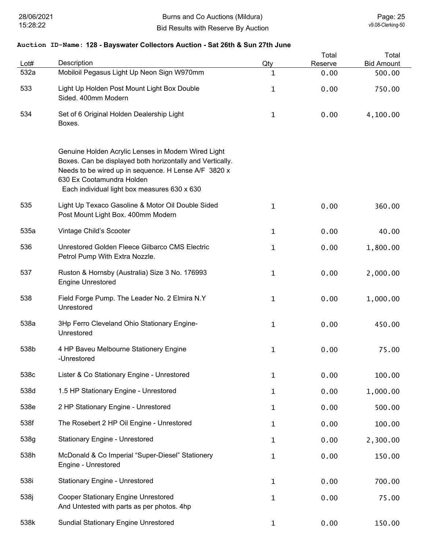| Lot# | Description                                                                                                                                                                                                                                           | Qty          | Total<br>Reserve | Total<br><b>Bid Amount</b> |
|------|-------------------------------------------------------------------------------------------------------------------------------------------------------------------------------------------------------------------------------------------------------|--------------|------------------|----------------------------|
| 532a | Mobiloil Pegasus Light Up Neon Sign W970mm                                                                                                                                                                                                            | $\mathbf{1}$ | 0.00             | 500.00                     |
| 533  | Light Up Holden Post Mount Light Box Double<br>Sided. 400mm Modern                                                                                                                                                                                    | $\mathbf{1}$ | 0.00             | 750.00                     |
| 534  | Set of 6 Original Holden Dealership Light<br>Boxes.                                                                                                                                                                                                   | $\mathbf 1$  | 0.00             | 4,100.00                   |
|      | Genuine Holden Acrylic Lenses in Modern Wired Light<br>Boxes. Can be displayed both horizontally and Vertically.<br>Needs to be wired up in sequence. H Lense A/F 3820 x<br>630 Ex Cootamundra Holden<br>Each individual light box measures 630 x 630 |              |                  |                            |
| 535  | Light Up Texaco Gasoline & Motor Oil Double Sided<br>Post Mount Light Box. 400mm Modern                                                                                                                                                               | $\mathbf 1$  | 0.00             | 360.00                     |
| 535a | Vintage Child's Scooter                                                                                                                                                                                                                               | $\mathbf{1}$ | 0.00             | 40.00                      |
| 536  | Unrestored Golden Fleece Gilbarco CMS Electric<br>Petrol Pump With Extra Nozzle.                                                                                                                                                                      | $\mathbf{1}$ | 0.00             | 1,800.00                   |
| 537  | Ruston & Hornsby (Australia) Size 3 No. 176993<br><b>Engine Unrestored</b>                                                                                                                                                                            | $\mathbf 1$  | 0.00             | 2,000.00                   |
| 538  | Field Forge Pump. The Leader No. 2 Elmira N.Y<br>Unrestored                                                                                                                                                                                           | $\mathbf 1$  | 0.00             | 1,000.00                   |
| 538a | 3Hp Ferro Cleveland Ohio Stationary Engine-<br>Unrestored                                                                                                                                                                                             | $\mathbf{1}$ | 0.00             | 450.00                     |
| 538b | 4 HP Baveu Melbourne Stationery Engine<br>-Unrestored                                                                                                                                                                                                 | $\mathbf 1$  | 0.00             | 75.00                      |
| 538c | Lister & Co Stationary Engine - Unrestored                                                                                                                                                                                                            | $\mathbf{1}$ | 0.00             | 100.00                     |
| 538d | 1.5 HP Stationary Engine - Unrestored                                                                                                                                                                                                                 | $\mathbf{1}$ | 0.00             | 1,000.00                   |
| 538e | 2 HP Stationary Engine - Unrestored                                                                                                                                                                                                                   | $\mathbf 1$  | 0.00             | 500.00                     |
| 538f | The Rosebert 2 HP Oil Engine - Unrestored                                                                                                                                                                                                             | $\mathbf 1$  | 0.00             | 100.00                     |
| 538g | <b>Stationary Engine - Unrestored</b>                                                                                                                                                                                                                 | $\mathbf 1$  | 0.00             | 2,300.00                   |
| 538h | McDonald & Co Imperial "Super-Diesel" Stationery<br>Engine - Unrestored                                                                                                                                                                               | $\mathbf 1$  | 0.00             | 150.00                     |
| 538i | <b>Stationary Engine - Unrestored</b>                                                                                                                                                                                                                 | $\mathbf 1$  | 0.00             | 700.00                     |
| 538j | <b>Cooper Stationary Engine Unrestored</b><br>And Untested with parts as per photos. 4hp                                                                                                                                                              | $\mathbf 1$  | 0.00             | 75.00                      |
| 538k | <b>Sundial Stationary Engine Unrestored</b>                                                                                                                                                                                                           | $\mathbf{1}$ | 0.00             | 150.00                     |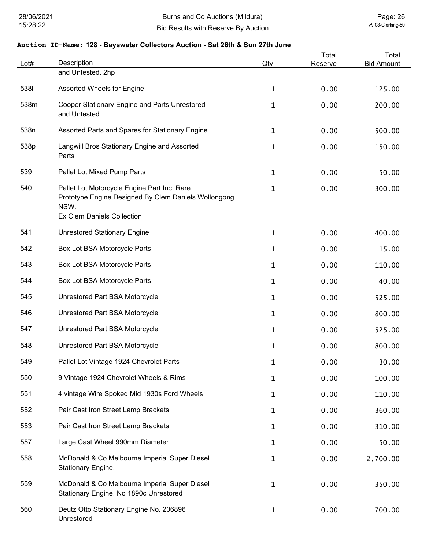| Lot# | Description                                                                                                                                      | Qty          | Total<br>Reserve | Total<br><b>Bid Amount</b> |
|------|--------------------------------------------------------------------------------------------------------------------------------------------------|--------------|------------------|----------------------------|
|      | and Untested. 2hp                                                                                                                                |              |                  |                            |
| 5381 | Assorted Wheels for Engine                                                                                                                       | $\mathbf{1}$ | 0.00             | 125.00                     |
| 538m | Cooper Stationary Engine and Parts Unrestored<br>and Untested                                                                                    | $\mathbf 1$  | 0.00             | 200.00                     |
| 538n | Assorted Parts and Spares for Stationary Engine                                                                                                  | $\mathbf{1}$ | 0.00             | 500.00                     |
| 538p | Langwill Bros Stationary Engine and Assorted<br>Parts                                                                                            | $\mathbf 1$  | 0.00             | 150.00                     |
| 539  | Pallet Lot Mixed Pump Parts                                                                                                                      | $\mathbf 1$  | 0.00             | 50.00                      |
| 540  | Pallet Lot Motorcycle Engine Part Inc. Rare<br>Prototype Engine Designed By Clem Daniels Wollongong<br>NSW.<br><b>Ex Clem Daniels Collection</b> | $\mathbf 1$  | 0.00             | 300.00                     |
|      |                                                                                                                                                  |              |                  |                            |
| 541  | <b>Unrestored Stationary Engine</b>                                                                                                              | $\mathbf 1$  | 0.00             | 400.00                     |
| 542  | Box Lot BSA Motorcycle Parts                                                                                                                     | $\mathbf 1$  | 0.00             | 15.00                      |
| 543  | Box Lot BSA Motorcycle Parts                                                                                                                     | $\mathbf{1}$ | 0.00             | 110.00                     |
| 544  | Box Lot BSA Motorcycle Parts                                                                                                                     | $\mathbf{1}$ | 0.00             | 40.00                      |
| 545  | Unrestored Part BSA Motorcycle                                                                                                                   | $\mathbf 1$  | 0.00             | 525.00                     |
| 546  | Unrestored Part BSA Motorcycle                                                                                                                   | $\mathbf{1}$ | 0.00             | 800.00                     |
| 547  | Unrestored Part BSA Motorcycle                                                                                                                   | $\mathbf{1}$ | 0.00             | 525.00                     |
| 548  | Unrestored Part BSA Motorcycle                                                                                                                   | 1            | 0.00             | 800.00                     |
| 549  | Pallet Lot Vintage 1924 Chevrolet Parts                                                                                                          | 1            | 0.00             | 30.00                      |
| 550  | 9 Vintage 1924 Chevrolet Wheels & Rims                                                                                                           | $\mathbf{1}$ | 0.00             | 100.00                     |
| 551  | 4 vintage Wire Spoked Mid 1930s Ford Wheels                                                                                                      | $\mathbf{1}$ | 0.00             | 110.00                     |
| 552  | Pair Cast Iron Street Lamp Brackets                                                                                                              | $\mathbf{1}$ | 0.00             | 360.00                     |
| 553  | Pair Cast Iron Street Lamp Brackets                                                                                                              | $\mathbf{1}$ | 0.00             | 310.00                     |
| 557  | Large Cast Wheel 990mm Diameter                                                                                                                  | $\mathbf{1}$ | 0.00             | 50.00                      |
| 558  | McDonald & Co Melbourne Imperial Super Diesel<br>Stationary Engine.                                                                              | $\mathbf 1$  | 0.00             | 2,700.00                   |
| 559  | McDonald & Co Melbourne Imperial Super Diesel<br>Stationary Engine. No 1890c Unrestored                                                          | $\mathbf 1$  | 0.00             | 350.00                     |
| 560  | Deutz Otto Stationary Engine No. 206896<br>Unrestored                                                                                            | $\mathbf{1}$ | 0.00             | 700.00                     |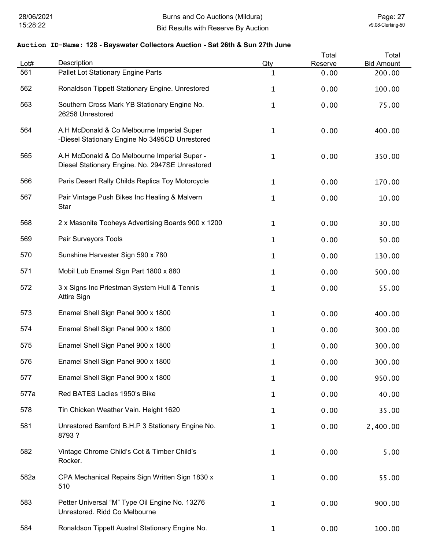| Lot# | Description                                                                                     | Qty          | Total<br>Reserve | Total<br><b>Bid Amount</b> |
|------|-------------------------------------------------------------------------------------------------|--------------|------------------|----------------------------|
| 561  | Pallet Lot Stationary Engine Parts                                                              | 1            | 0.00             | 200.00                     |
| 562  | Ronaldson Tippett Stationary Engine. Unrestored                                                 | $\mathbf 1$  | 0.00             | 100.00                     |
| 563  | Southern Cross Mark YB Stationary Engine No.<br>26258 Unrestored                                | 1            | 0.00             | 75.00                      |
| 564  | A.H McDonald & Co Melbourne Imperial Super<br>-Diesel Stationary Engine No 3495CD Unrestored    | $\mathbf 1$  | 0.00             | 400.00                     |
| 565  | A.H McDonald & Co Melbourne Imperial Super -<br>Diesel Stationary Engine. No. 2947SE Unrestored | $\mathbf 1$  | 0.00             | 350.00                     |
| 566  | Paris Desert Rally Childs Replica Toy Motorcycle                                                | 1            | 0.00             | 170.00                     |
| 567  | Pair Vintage Push Bikes Inc Healing & Malvern<br>Star                                           | 1            | 0.00             | 10.00                      |
| 568  | 2 x Masonite Tooheys Advertising Boards 900 x 1200                                              | $\mathbf 1$  | 0.00             | 30.00                      |
| 569  | Pair Surveyors Tools                                                                            | 1            | 0.00             | 50.00                      |
| 570  | Sunshine Harvester Sign 590 x 780                                                               | 1            | 0.00             | 130.00                     |
| 571  | Mobil Lub Enamel Sign Part 1800 x 880                                                           | 1            | 0.00             | 500.00                     |
| 572  | 3 x Signs Inc Priestman System Hull & Tennis<br><b>Attire Sign</b>                              | 1            | 0.00             | 55.00                      |
| 573  | Enamel Shell Sign Panel 900 x 1800                                                              | 1            | 0.00             | 400.00                     |
| 574  | Enamel Shell Sign Panel 900 x 1800                                                              | 1            | 0.00             | 300.00                     |
| 575  | Enamel Shell Sign Panel 900 x 1800                                                              | 1            | 0.00             | 300.00                     |
| 576  | Enamel Shell Sign Panel 900 x 1800                                                              | 1            | 0.00             | 300.00                     |
| 577  | Enamel Shell Sign Panel 900 x 1800                                                              | $\mathbf{1}$ | 0.00             | 950.00                     |
| 577a | Red BATES Ladies 1950's Bike                                                                    | $\mathbf{1}$ | 0.00             | 40.00                      |
| 578  | Tin Chicken Weather Vain. Height 1620                                                           | $\mathbf{1}$ | 0.00             | 35.00                      |
| 581  | Unrestored Bamford B.H.P 3 Stationary Engine No.<br>8793?                                       | 1            | 0.00             | 2,400.00                   |
| 582  | Vintage Chrome Child's Cot & Timber Child's<br>Rocker.                                          | $\mathbf 1$  | 0.00             | 5.00                       |
| 582a | CPA Mechanical Repairs Sign Written Sign 1830 x<br>510                                          | $\mathbf 1$  | 0.00             | 55.00                      |
| 583  | Petter Universal "M" Type Oil Engine No. 13276<br>Unrestored. Ridd Co Melbourne                 | $\mathbf 1$  | 0.00             | 900.00                     |
| 584  | Ronaldson Tippett Austral Stationary Engine No.                                                 | $\mathbf{1}$ | 0.00             | 100.00                     |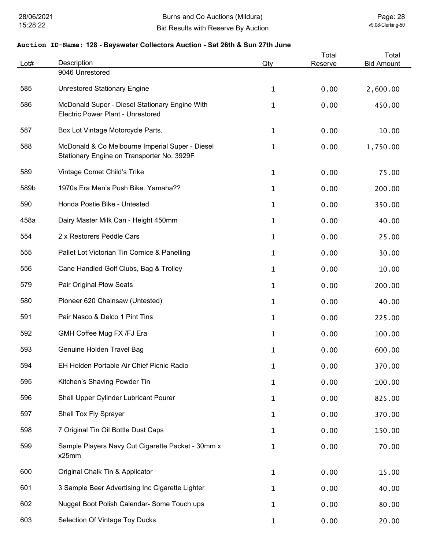| Lot# | Description                                                                                   | Qty          | Total<br>Reserve | Total<br><b>Bid Amount</b> |
|------|-----------------------------------------------------------------------------------------------|--------------|------------------|----------------------------|
|      | 9046 Unrestored                                                                               |              |                  |                            |
| 585  | <b>Unrestored Stationary Engine</b>                                                           | $\mathbf{1}$ | 0.00             | 2,600.00                   |
| 586  | McDonald Super - Diesel Stationary Engine With<br><b>Electric Power Plant - Unrestored</b>    | 1            | 0.00             | 450.00                     |
| 587  | Box Lot Vintage Motorcycle Parts.                                                             | $\mathbf{1}$ | 0.00             | 10.00                      |
| 588  | McDonald & Co Melbourne Imperial Super - Diesel<br>Stationary Engine on Transporter No. 3929F | 1            | 0.00             | 1,750.00                   |
| 589  | Vintage Comet Child's Trike                                                                   | $\mathbf{1}$ | 0.00             | 75.00                      |
| 589b | 1970s Era Men's Push Bike, Yamaha??                                                           | 1            | 0.00             | 200.00                     |
| 590  | Honda Postie Bike - Untested                                                                  | 1            | 0.00             | 350.00                     |
| 458a | Dairy Master Milk Can - Height 450mm                                                          | 1            | 0.00             | 40.00                      |
| 554  | 2 x Restorers Peddle Cars                                                                     | $\mathbf{1}$ | 0.00             | 25.00                      |
| 555  | Pallet Lot Victorian Tin Cornice & Panelling                                                  | 1            | 0.00             | 30.00                      |
| 556  | Cane Handled Golf Clubs, Bag & Trolley                                                        | 1            | 0.00             | 10.00                      |
| 579  | Pair Original Plow Seats                                                                      | 1            | 0.00             | 200.00                     |
| 580  | Pioneer 620 Chainsaw (Untested)                                                               | 1            | 0.00             | 40.00                      |
| 591  | Pair Nasco & Delco 1 Pint Tins                                                                | 1            | 0.00             | 225.00                     |
| 592  | GMH Coffee Mug FX /FJ Era                                                                     | 1            | 0.00             | 100.00                     |
| 593  | Genuine Holden Travel Bag                                                                     | 1            | 0.00             | 600.00                     |
| 594  | EH Holden Portable Air Chief Picnic Radio                                                     | $\mathbf 1$  | 0.00             | 370.00                     |
| 595  | Kitchen's Shaving Powder Tin                                                                  | $\mathbf 1$  | 0.00             | 100.00                     |
| 596  | Shell Upper Cylinder Lubricant Pourer                                                         | 1            | 0.00             | 825.00                     |
| 597  | Shell Tox Fly Sprayer                                                                         | $\mathbf 1$  | 0.00             | 370.00                     |
| 598  | 7 Original Tin Oil Bottle Dust Caps                                                           | $\mathbf 1$  | 0.00             | 150.00                     |
| 599  | Sample Players Navy Cut Cigarette Packet - 30mm x<br>x25mm                                    | $\mathbf 1$  | 0.00             | 70.00                      |
| 600  | Original Chalk Tin & Applicator                                                               | $\mathbf 1$  | 0.00             | 15.00                      |
| 601  | 3 Sample Beer Advertising Inc Cigarette Lighter                                               | 1            | 0.00             | 40.00                      |
| 602  | Nugget Boot Polish Calendar- Some Touch ups                                                   | $\mathbf 1$  | 0.00             | 80.00                      |
| 603  | Selection Of Vintage Toy Ducks                                                                | $\mathbf{1}$ | 0.00             | 20.00                      |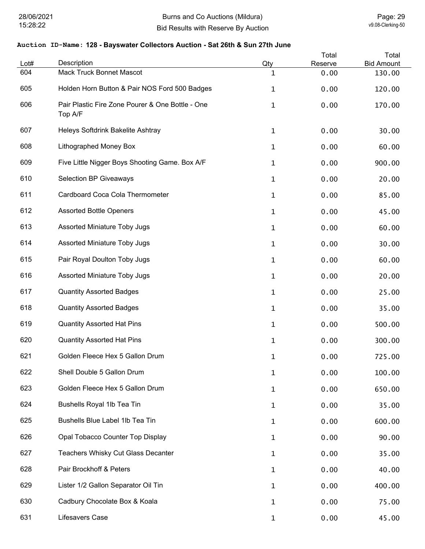| Lot# | Description                                                 | Qty          | Total<br>Reserve | Total<br><b>Bid Amount</b> |
|------|-------------------------------------------------------------|--------------|------------------|----------------------------|
| 604  | <b>Mack Truck Bonnet Mascot</b>                             | $\mathbf 1$  | 0.00             | 130.00                     |
| 605  | Holden Horn Button & Pair NOS Ford 500 Badges               | $\mathbf{1}$ | 0.00             | 120.00                     |
| 606  | Pair Plastic Fire Zone Pourer & One Bottle - One<br>Top A/F | $\mathbf 1$  | 0.00             | 170.00                     |
| 607  | Heleys Softdrink Bakelite Ashtray                           | $\mathbf{1}$ | 0.00             | 30.00                      |
| 608  | Lithographed Money Box                                      | $\mathbf{1}$ | 0.00             | 60.00                      |
| 609  | Five Little Nigger Boys Shooting Game. Box A/F              | $\mathbf 1$  | 0.00             | 900.00                     |
| 610  | <b>Selection BP Giveaways</b>                               | $\mathbf 1$  | 0.00             | 20.00                      |
| 611  | Cardboard Coca Cola Thermometer                             | $\mathbf 1$  | 0.00             | 85.00                      |
| 612  | <b>Assorted Bottle Openers</b>                              | $\mathbf{1}$ | 0.00             | 45.00                      |
| 613  | <b>Assorted Miniature Toby Jugs</b>                         | $\mathbf 1$  | 0.00             | 60.00                      |
| 614  | <b>Assorted Miniature Toby Jugs</b>                         | $\mathbf 1$  | 0.00             | 30.00                      |
| 615  | Pair Royal Doulton Toby Jugs                                | $\mathbf{1}$ | 0.00             | 60.00                      |
| 616  | <b>Assorted Miniature Toby Jugs</b>                         | 1            | 0.00             | 20.00                      |
| 617  | <b>Quantity Assorted Badges</b>                             | $\mathbf{1}$ | 0.00             | 25.00                      |
| 618  | <b>Quantity Assorted Badges</b>                             | $\mathbf{1}$ | 0.00             | 35.00                      |
| 619  | <b>Quantity Assorted Hat Pins</b>                           | $\mathbf 1$  | 0.00             | 500.00                     |
| 620  | <b>Quantity Assorted Hat Pins</b>                           | 1            | 0.00             | 300.00                     |
| 621  | Golden Fleece Hex 5 Gallon Drum                             | $\mathbf 1$  | 0.00             | 725.00                     |
| 622  | Shell Double 5 Gallon Drum                                  | 1            | 0.00             | 100.00                     |
| 623  | Golden Fleece Hex 5 Gallon Drum                             | 1            | 0.00             | 650.00                     |
| 624  | Bushells Royal 1lb Tea Tin                                  | $\mathbf{1}$ | 0.00             | 35.00                      |
| 625  | Bushells Blue Label 1lb Tea Tin                             | $\mathbf{1}$ | 0.00             | 600.00                     |
| 626  | Opal Tobacco Counter Top Display                            | $\mathbf{1}$ | 0.00             | 90.00                      |
| 627  | Teachers Whisky Cut Glass Decanter                          | $\mathbf{1}$ | 0.00             | 35.00                      |
| 628  | Pair Brockhoff & Peters                                     | $\mathbf{1}$ | 0.00             | 40.00                      |
| 629  | Lister 1/2 Gallon Separator Oil Tin                         | 1            | 0.00             | 400.00                     |
| 630  | Cadbury Chocolate Box & Koala                               | $\mathbf{1}$ | 0.00             | 75.00                      |
| 631  | Lifesavers Case                                             | $\mathbf{1}$ | 0.00             | 45.00                      |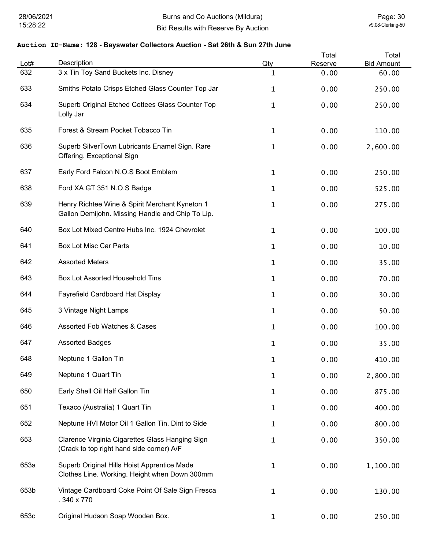| Lot# | Description                                                                                        | Qty          | Total<br>Reserve | Total<br><b>Bid Amount</b> |
|------|----------------------------------------------------------------------------------------------------|--------------|------------------|----------------------------|
| 632  | 3 x Tin Toy Sand Buckets Inc. Disney                                                               | 1            | 0.00             | 60.00                      |
| 633  | Smiths Potato Crisps Etched Glass Counter Top Jar                                                  | 1            | 0.00             | 250.00                     |
| 634  | Superb Original Etched Cottees Glass Counter Top<br>Lolly Jar                                      | 1            | 0.00             | 250.00                     |
| 635  | Forest & Stream Pocket Tobacco Tin                                                                 | $\mathbf{1}$ | 0.00             | 110.00                     |
| 636  | Superb SilverTown Lubricants Enamel Sign. Rare<br>Offering. Exceptional Sign                       | 1            | 0.00             | 2,600.00                   |
| 637  | Early Ford Falcon N.O.S Boot Emblem                                                                | 1            | 0.00             | 250.00                     |
| 638  | Ford XA GT 351 N.O.S Badge                                                                         | 1            | 0.00             | 525.00                     |
| 639  | Henry Richtee Wine & Spirit Merchant Kyneton 1<br>Gallon Demijohn. Missing Handle and Chip To Lip. | 1            | 0.00             | 275.00                     |
| 640  | Box Lot Mixed Centre Hubs Inc. 1924 Chevrolet                                                      | $\mathbf{1}$ | 0.00             | 100.00                     |
| 641  | <b>Box Lot Misc Car Parts</b>                                                                      | 1            | 0.00             | 10.00                      |
| 642  | <b>Assorted Meters</b>                                                                             | 1            | 0.00             | 35.00                      |
| 643  | Box Lot Assorted Household Tins                                                                    | 1            | 0.00             | 70.00                      |
| 644  | Fayrefield Cardboard Hat Display                                                                   | $\mathbf{1}$ | 0.00             | 30.00                      |
| 645  | 3 Vintage Night Lamps                                                                              | $\mathbf{1}$ | 0.00             | 50.00                      |
| 646  | Assorted Fob Watches & Cases                                                                       | 1            | 0.00             | 100.00                     |
| 647  | <b>Assorted Badges</b>                                                                             | 1            | 0.00             | 35.00                      |
| 648  | Neptune 1 Gallon Tin                                                                               | 1            | 0.00             | 410.00                     |
| 649  | Neptune 1 Quart Tin                                                                                | 1            | 0.00             | 2,800.00                   |
| 650  | Early Shell Oil Half Gallon Tin                                                                    | 1            | 0.00             | 875.00                     |
| 651  | Texaco (Australia) 1 Quart Tin                                                                     | 1            | 0.00             | 400.00                     |
| 652  | Neptune HVI Motor Oil 1 Gallon Tin. Dint to Side                                                   | 1            | 0.00             | 800.00                     |
| 653  | Clarence Virginia Cigarettes Glass Hanging Sign<br>(Crack to top right hand side corner) A/F       | 1            | 0.00             | 350.00                     |
| 653a | Superb Original Hills Hoist Apprentice Made<br>Clothes Line. Working. Height when Down 300mm       | 1            | 0.00             | 1,100.00                   |
| 653b | Vintage Cardboard Coke Point Of Sale Sign Fresca<br>.340 x 770                                     | 1            | 0.00             | 130.00                     |
| 653c | Original Hudson Soap Wooden Box.                                                                   | $\mathbf{1}$ | 0.00             | 250.00                     |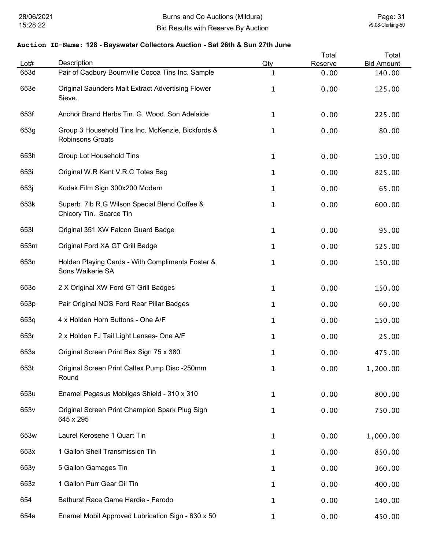| Lot#             | Description                                                                  | Qty          | Total<br>Reserve | Total<br><b>Bid Amount</b> |
|------------------|------------------------------------------------------------------------------|--------------|------------------|----------------------------|
| 653d             | Pair of Cadbury Bournville Cocoa Tins Inc. Sample                            | 1            | 0.00             | 140.00                     |
| 653e             | Original Saunders Malt Extract Advertising Flower<br>Sieve.                  | 1            | 0.00             | 125.00                     |
| 653f             | Anchor Brand Herbs Tin. G. Wood. Son Adelaide                                | $\mathbf 1$  | 0.00             | 225.00                     |
| 653g             | Group 3 Household Tins Inc. McKenzie, Bickfords &<br><b>Robinsons Groats</b> | 1            | 0.00             | 80.00                      |
| 653h             | Group Lot Household Tins                                                     | 1            | 0.00             | 150.00                     |
| 653i             | Original W.R Kent V.R.C Totes Bag                                            | 1            | 0.00             | 825.00                     |
| 653j             | Kodak Film Sign 300x200 Modern                                               | 1            | 0.00             | 65.00                      |
| 653k             | Superb 7lb R.G Wilson Special Blend Coffee &<br>Chicory Tin. Scarce Tin      | $\mathbf 1$  | 0.00             | 600.00                     |
| 6531             | Original 351 XW Falcon Guard Badge                                           | 1            | 0.00             | 95.00                      |
| 653m             | Original Ford XA GT Grill Badge                                              | $\mathbf{1}$ | 0.00             | 525.00                     |
| 653n             | Holden Playing Cards - With Compliments Foster &<br>Sons Waikerie SA         | $\mathbf 1$  | 0.00             | 150.00                     |
| 653o             | 2 X Original XW Ford GT Grill Badges                                         | $\mathbf 1$  | 0.00             | 150.00                     |
| 653p             | Pair Original NOS Ford Rear Pillar Badges                                    | $\mathbf{1}$ | 0.00             | 60.00                      |
| 653q             | 4 x Holden Horn Buttons - One A/F                                            | $\mathbf 1$  | 0.00             | 150.00                     |
| 653r             | 2 x Holden FJ Tail Light Lenses- One A/F                                     | $\mathbf 1$  | 0.00             | 25.00                      |
| 653s             | Original Screen Print Bex Sign 75 x 380                                      | 1            | 0.00             | 475.00                     |
| 653t             | Original Screen Print Caltex Pump Disc -250mm<br>Round                       | 1            | 0.00             | 1,200.00                   |
| 653u             | Enamel Pegasus Mobilgas Shield - 310 x 310                                   | 1            | 0.00             | 800.00                     |
| 653 <sub>v</sub> | Original Screen Print Champion Spark Plug Sign<br>645 x 295                  | 1            | 0.00             | 750.00                     |
| 653w             | Laurel Kerosene 1 Quart Tin                                                  | 1            | 0.00             | 1,000.00                   |
| 653x             | 1 Gallon Shell Transmission Tin                                              | 1            | 0.00             | 850.00                     |
| 653y             | 5 Gallon Gamages Tin                                                         | 1            | 0.00             | 360.00                     |
| 653z             | 1 Gallon Purr Gear Oil Tin                                                   | 1            | 0.00             | 400.00                     |
| 654              | Bathurst Race Game Hardie - Ferodo                                           | 1            | 0.00             | 140.00                     |
| 654a             | Enamel Mobil Approved Lubrication Sign - 630 x 50                            | $\mathbf{1}$ | 0.00             | 450.00                     |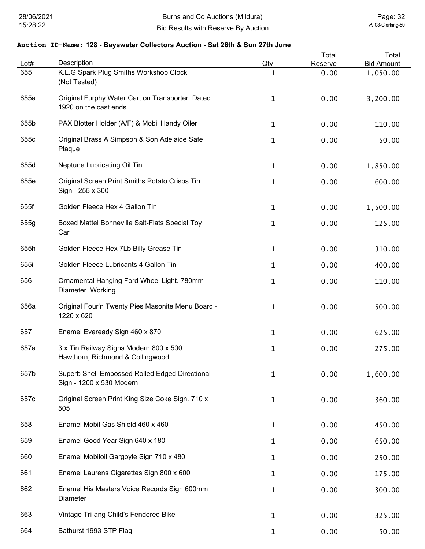| Lot# | Description                                                                | Qty | Total<br>Reserve | Total<br><b>Bid Amount</b> |
|------|----------------------------------------------------------------------------|-----|------------------|----------------------------|
| 655  | K.L.G Spark Plug Smiths Workshop Clock<br>(Not Tested)                     | 1   | 0.00             | 1,050.00                   |
| 655a | Original Furphy Water Cart on Transporter. Dated<br>1920 on the cast ends. | 1   | 0.00             | 3,200.00                   |
| 655b | PAX Blotter Holder (A/F) & Mobil Handy Oiler                               | 1   | 0.00             | 110.00                     |
| 655c | Original Brass A Simpson & Son Adelaide Safe<br>Plaque                     | 1   | 0.00             | 50.00                      |
| 655d | Neptune Lubricating Oil Tin                                                | 1   | 0.00             | 1,850.00                   |
| 655e | Original Screen Print Smiths Potato Crisps Tin<br>Sign - 255 x 300         | 1   | 0.00             | 600.00                     |
| 655f | Golden Fleece Hex 4 Gallon Tin                                             | 1   | 0.00             | 1,500.00                   |
| 655g | Boxed Mattel Bonneville Salt-Flats Special Toy<br>Car                      | 1   | 0.00             | 125.00                     |
| 655h | Golden Fleece Hex 7Lb Billy Grease Tin                                     | 1   | 0.00             | 310.00                     |
| 655i | Golden Fleece Lubricants 4 Gallon Tin                                      | 1   | 0.00             | 400.00                     |
| 656  | Ornamental Hanging Ford Wheel Light. 780mm<br>Diameter. Working            | 1   | 0.00             | 110.00                     |
| 656a | Original Four'n Twenty Pies Masonite Menu Board -<br>1220 x 620            | 1   | 0.00             | 500.00                     |
| 657  | Enamel Eveready Sign 460 x 870                                             | 1   | 0.00             | 625.00                     |
| 657a | 3 x Tin Railway Signs Modern 800 x 500<br>Hawthorn, Richmond & Collingwood | 1   | 0.00             | 275.00                     |
| 657b | Superb Shell Embossed Rolled Edged Directional<br>Sign - 1200 x 530 Modern | 1   | 0.00             | 1,600.00                   |
| 657c | Original Screen Print King Size Coke Sign. 710 x<br>505                    | 1   | 0.00             | 360.00                     |
| 658  | Enamel Mobil Gas Shield 460 x 460                                          | 1   | 0.00             | 450.00                     |
| 659  | Enamel Good Year Sign 640 x 180                                            | 1   | 0.00             | 650.00                     |
| 660  | Enamel Mobiloil Gargoyle Sign 710 x 480                                    | 1   | 0.00             | 250.00                     |
| 661  | Enamel Laurens Cigarettes Sign 800 x 600                                   | 1   | 0.00             | 175.00                     |
| 662  | Enamel His Masters Voice Records Sign 600mm<br>Diameter                    | 1   | 0.00             | 300.00                     |
| 663  | Vintage Tri-ang Child's Fendered Bike                                      | 1   | 0.00             | 325.00                     |
| 664  | Bathurst 1993 STP Flag                                                     | 1   | 0.00             | 50.00                      |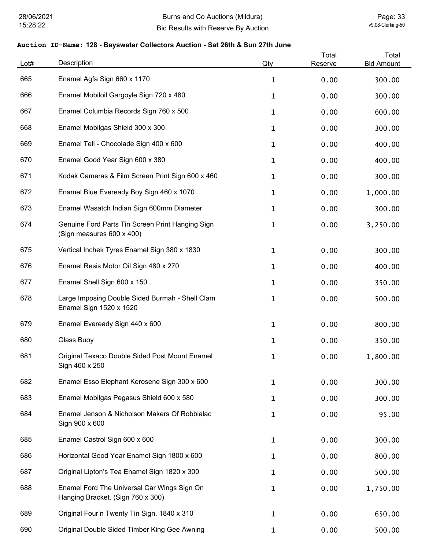| Lot# | Description                                                                      | Qty          | Total<br>Reserve | Total<br><b>Bid Amount</b> |
|------|----------------------------------------------------------------------------------|--------------|------------------|----------------------------|
| 665  | Enamel Agfa Sign 660 x 1170                                                      | $\mathbf{1}$ | 0.00             | 300.00                     |
| 666  | Enamel Mobiloil Gargoyle Sign 720 x 480                                          | $\mathbf{1}$ | 0.00             | 300.00                     |
| 667  | Enamel Columbia Records Sign 760 x 500                                           | $\mathbf{1}$ | 0.00             | 600.00                     |
| 668  | Enamel Mobilgas Shield 300 x 300                                                 | $\mathbf{1}$ | 0.00             | 300.00                     |
| 669  | Enamel Tell - Chocolade Sign 400 x 600                                           | $\mathbf{1}$ | 0.00             | 400.00                     |
| 670  | Enamel Good Year Sign 600 x 380                                                  | $\mathbf{1}$ | 0.00             | 400.00                     |
| 671  | Kodak Cameras & Film Screen Print Sign 600 x 460                                 | $\mathbf{1}$ | 0.00             | 300.00                     |
| 672  | Enamel Blue Eveready Boy Sign 460 x 1070                                         | $\mathbf{1}$ | 0.00             | 1,000.00                   |
| 673  | Enamel Wasatch Indian Sign 600mm Diameter                                        | $\mathbf{1}$ | 0.00             | 300.00                     |
| 674  | Genuine Ford Parts Tin Screen Print Hanging Sign<br>(Sign measures 600 x 400)    | $\mathbf 1$  | 0.00             | 3,250.00                   |
| 675  | Vertical Inchek Tyres Enamel Sign 380 x 1830                                     | $\mathbf 1$  | 0.00             | 300.00                     |
| 676  | Enamel Resis Motor Oil Sign 480 x 270                                            | $\mathbf{1}$ | 0.00             | 400.00                     |
| 677  | Enamel Shell Sign 600 x 150                                                      | $\mathbf{1}$ | 0.00             | 350.00                     |
| 678  | Large Imposing Double Sided Burmah - Shell Clam<br>Enamel Sign 1520 x 1520       | $\mathbf 1$  | 0.00             | 500.00                     |
| 679  | Enamel Eveready Sign 440 x 600                                                   | $\mathbf 1$  | 0.00             | 800.00                     |
| 680  | Glass Buoy                                                                       | $\mathbf 1$  | 0.00             | 350.00                     |
| 681  | Original Texaco Double Sided Post Mount Enamel<br>Sign 460 x 250                 | $\mathbf{1}$ | 0.00             | 1,800.00                   |
| 682  | Enamel Esso Elephant Kerosene Sign 300 x 600                                     | $\mathbf 1$  | 0.00             | 300.00                     |
| 683  | Enamel Mobilgas Pegasus Shield 600 x 580                                         | 1            | 0.00             | 300.00                     |
| 684  | Enamel Jenson & Nicholson Makers Of Robbialac<br>Sign 900 x 600                  | $\mathbf 1$  | 0.00             | 95.00                      |
| 685  | Enamel Castrol Sign 600 x 600                                                    | 1            | 0.00             | 300.00                     |
| 686  | Horizontal Good Year Enamel Sign 1800 x 600                                      | $\mathbf{1}$ | 0.00             | 800.00                     |
| 687  | Original Lipton's Tea Enamel Sign 1820 x 300                                     | $\mathbf{1}$ | 0.00             | 500.00                     |
| 688  | Enamel Ford The Universal Car Wings Sign On<br>Hanging Bracket. (Sign 760 x 300) | $\mathbf 1$  | 0.00             | 1,750.00                   |
| 689  | Original Four'n Twenty Tin Sign. 1840 x 310                                      | 1            | 0.00             | 650.00                     |
| 690  | Original Double Sided Timber King Gee Awning                                     | $\mathbf{1}$ | 0.00             | 500.00                     |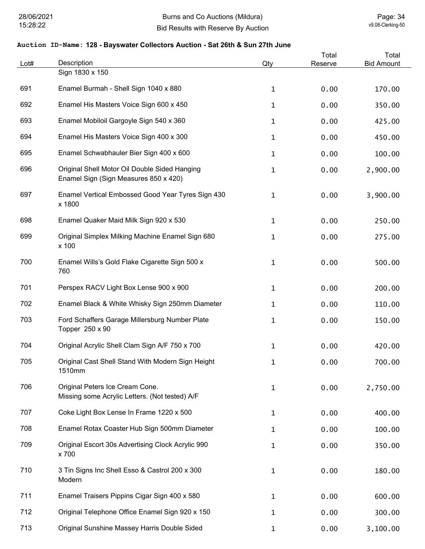| Lot# | Description                                                                            | Qty          | Total<br>Reserve | Total<br><b>Bid Amount</b> |
|------|----------------------------------------------------------------------------------------|--------------|------------------|----------------------------|
|      | Sign 1830 x 150                                                                        |              |                  |                            |
| 691  | Enamel Burmah - Shell Sign 1040 x 880                                                  | $\mathbf{1}$ | 0.00             | 170.00                     |
| 692  | Enamel His Masters Voice Sign 600 x 450                                                | $\mathbf{1}$ | 0.00             | 350.00                     |
| 693  | Enamel Mobiloil Gargoyle Sign 540 x 360                                                | $\mathbf 1$  | 0.00             | 425.00                     |
| 694  | Enamel His Masters Voice Sign 400 x 300                                                | $\mathbf 1$  | 0.00             | 450.00                     |
| 695  | Enamel Schwabhauler Bier Sign 400 x 600                                                | $\mathbf{1}$ | 0.00             | 100.00                     |
| 696  | Original Shell Motor Oil Double Sided Hanging<br>Enamel Sign (Sign Measures 850 x 420) | $\mathbf 1$  | 0.00             | 2,900.00                   |
| 697  | Enamel Vertical Embossed Good Year Tyres Sign 430<br>x 1800                            | $\mathbf{1}$ | 0.00             | 3,900.00                   |
| 698  | Enamel Quaker Maid Milk Sign 920 x 530                                                 | $\mathbf{1}$ | 0.00             | 250.00                     |
| 699  | Original Simplex Milking Machine Enamel Sign 680<br>x 100                              | $\mathbf 1$  | 0.00             | 275.00                     |
| 700  | Enamel Wills's Gold Flake Cigarette Sign 500 x<br>760                                  | $\mathbf 1$  | 0.00             | 500.00                     |
| 701  | Perspex RACV Light Box Lense 900 x 900                                                 | $\mathbf{1}$ | 0.00             | 200.00                     |
| 702  | Enamel Black & White Whisky Sign 250mm Diameter                                        | $\mathbf 1$  | 0.00             | 110.00                     |
| 703  | Ford Schaffers Garage Millersburg Number Plate<br>Topper 250 x 90                      | 1            | 0.00             | 150.00                     |
| 704  | Original Acrylic Shell Clam Sign A/F 750 x 700                                         | $\mathbf 1$  | 0.00             | 420.00                     |
| 705  | Original Cast Shell Stand With Modern Sign Height<br>1510mm                            | 1            | 0.00             | 700.00                     |
| 706  | Original Peters Ice Cream Cone.<br>Missing some Acrylic Letters. (Not tested) A/F      | $\mathbf{1}$ | 0.00             | 2,750.00                   |
| 707  | Coke Light Box Lense In Frame 1220 x 500                                               | $\mathbf{1}$ | 0.00             | 400.00                     |
| 708  | Enamel Rotax Coaster Hub Sign 500mm Diameter                                           | $\mathbf{1}$ | 0.00             | 100.00                     |
| 709  | Original Escort 30s Advertising Clock Acrylic 990<br>x 700                             | $\mathbf 1$  | 0.00             | 350.00                     |
| 710  | 3 Tin Signs Inc Shell Esso & Castrol 200 x 300<br>Modern                               | $\mathbf{1}$ | 0.00             | 180.00                     |
| 711  | Enamel Traisers Pippins Cigar Sign 400 x 580                                           | $\mathbf{1}$ | 0.00             | 600.00                     |
| 712  | Original Telephone Office Enamel Sign 920 x 150                                        | $\mathbf 1$  | 0.00             | 300.00                     |
| 713  | Original Sunshine Massey Harris Double Sided                                           | $\mathbf 1$  | 0.00             | 3,100.00                   |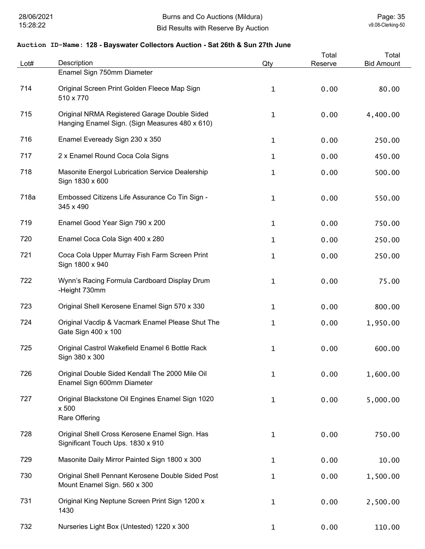| Lot# | Description                                                                                    | Qty          | Total<br>Reserve | Total<br><b>Bid Amount</b> |
|------|------------------------------------------------------------------------------------------------|--------------|------------------|----------------------------|
|      | Enamel Sign 750mm Diameter                                                                     |              |                  |                            |
| 714  | Original Screen Print Golden Fleece Map Sign<br>510 x 770                                      | $\mathbf{1}$ | 0.00             | 80.00                      |
| 715  | Original NRMA Registered Garage Double Sided<br>Hanging Enamel Sign. (Sign Measures 480 x 610) | $\mathbf{1}$ | 0.00             | 4,400.00                   |
| 716  | Enamel Eveready Sign 230 x 350                                                                 | $\mathbf{1}$ | 0.00             | 250.00                     |
| 717  | 2 x Enamel Round Coca Cola Signs                                                               | 1            | 0.00             | 450.00                     |
| 718  | Masonite Energol Lubrication Service Dealership<br>Sign 1830 x 600                             | 1            | 0.00             | 500.00                     |
| 718a | Embossed Citizens Life Assurance Co Tin Sign -<br>345 x 490                                    | 1            | 0.00             | 550.00                     |
| 719  | Enamel Good Year Sign 790 x 200                                                                | $\mathbf 1$  | 0.00             | 750.00                     |
| 720  | Enamel Coca Cola Sign 400 x 280                                                                | 1            | 0.00             | 250.00                     |
| 721  | Coca Cola Upper Murray Fish Farm Screen Print<br>Sign 1800 x 940                               | 1            | 0.00             | 250.00                     |
| 722  | Wynn's Racing Formula Cardboard Display Drum<br>-Height 730mm                                  | 1            | 0.00             | 75.00                      |
| 723  | Original Shell Kerosene Enamel Sign 570 x 330                                                  | 1            | 0.00             | 800.00                     |
| 724  | Original Vacdip & Vacmark Enamel Please Shut The<br>Gate Sign 400 x 100                        | 1            | 0.00             | 1,950.00                   |
| 725  | Original Castrol Wakefield Enamel 6 Bottle Rack<br>Sign 380 x 300                              | 1            | 0.00             | 600.00                     |
| 726  | Original Double Sided Kendall The 2000 Mile Oil<br>Enamel Sign 600mm Diameter                  | 1            | 0.00             | 1,600.00                   |
| 727  | Original Blackstone Oil Engines Enamel Sign 1020<br>x 500<br>Rare Offering                     | 1            | 0.00             | 5,000.00                   |
| 728  | Original Shell Cross Kerosene Enamel Sign. Has<br>Significant Touch Ups. 1830 x 910            | 1            | 0.00             | 750.00                     |
| 729  | Masonite Daily Mirror Painted Sign 1800 x 300                                                  | 1            | 0.00             | 10.00                      |
| 730  | Original Shell Pennant Kerosene Double Sided Post<br>Mount Enamel Sign. 560 x 300              | 1            | 0.00             | 1,500.00                   |
| 731  | Original King Neptune Screen Print Sign 1200 x<br>1430                                         | $\mathbf 1$  | 0.00             | 2,500.00                   |
| 732  | Nurseries Light Box (Untested) 1220 x 300                                                      | $\mathbf 1$  | 0.00             | 110.00                     |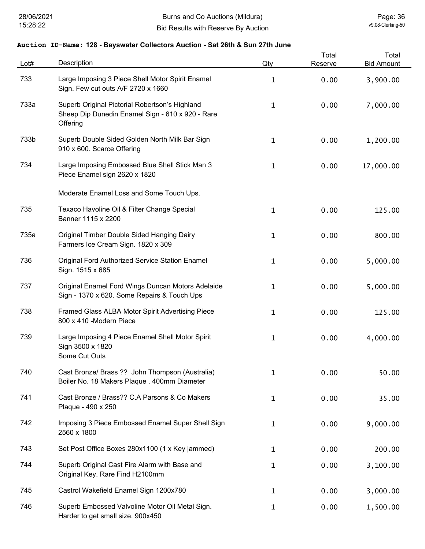| Lot# | Description                                                                                                    | Qty          | Total<br>Reserve | Total<br><b>Bid Amount</b> |
|------|----------------------------------------------------------------------------------------------------------------|--------------|------------------|----------------------------|
| 733  | Large Imposing 3 Piece Shell Motor Spirit Enamel<br>Sign. Few cut outs A/F 2720 x 1660                         | 1            | 0.00             | 3,900.00                   |
| 733a | Superb Original Pictorial Robertson's Highland<br>Sheep Dip Dunedin Enamel Sign - 610 x 920 - Rare<br>Offering | 1            | 0.00             | 7,000.00                   |
| 733b | Superb Double Sided Golden North Milk Bar Sign<br>910 x 600. Scarce Offering                                   | 1            | 0.00             | 1,200.00                   |
| 734  | Large Imposing Embossed Blue Shell Stick Man 3<br>Piece Enamel sign 2620 x 1820                                | $\mathbf 1$  | 0.00             | 17,000.00                  |
|      | Moderate Enamel Loss and Some Touch Ups.                                                                       |              |                  |                            |
| 735  | Texaco Havoline Oil & Filter Change Special<br>Banner 1115 x 2200                                              | $\mathbf 1$  | 0.00             | 125.00                     |
| 735a | Original Timber Double Sided Hanging Dairy<br>Farmers Ice Cream Sign. 1820 x 309                               | 1            | 0.00             | 800.00                     |
| 736  | <b>Original Ford Authorized Service Station Enamel</b><br>Sign. 1515 x 685                                     | $\mathbf 1$  | 0.00             | 5,000.00                   |
| 737  | Original Enamel Ford Wings Duncan Motors Adelaide<br>Sign - 1370 x 620. Some Repairs & Touch Ups               | $\mathbf 1$  | 0.00             | 5,000.00                   |
| 738  | Framed Glass ALBA Motor Spirit Advertising Piece<br>800 x 410 -Modern Piece                                    | 1            | 0.00             | 125.00                     |
| 739  | Large Imposing 4 Piece Enamel Shell Motor Spirit<br>Sign 3500 x 1820<br>Some Cut Outs                          | 1            | 0.00             | 4,000.00                   |
| 740  | Cast Bronze/ Brass ?? John Thompson (Australia)<br>Boiler No. 18 Makers Plaque . 400mm Diameter                | 1            | 0.00             | 50.00                      |
| 741  | Cast Bronze / Brass?? C.A Parsons & Co Makers<br>Plaque - 490 x 250                                            | $\mathbf{1}$ | 0.00             | 35.00                      |
| 742  | Imposing 3 Piece Embossed Enamel Super Shell Sign<br>2560 x 1800                                               | $\mathbf{1}$ | 0.00             | 9,000.00                   |
| 743  | Set Post Office Boxes 280x1100 (1 x Key jammed)                                                                | $\mathbf 1$  | 0.00             | 200.00                     |
| 744  | Superb Original Cast Fire Alarm with Base and<br>Original Key. Rare Find H2100mm                               | $\mathbf{1}$ | 0.00             | 3,100.00                   |
| 745  | Castrol Wakefield Enamel Sign 1200x780                                                                         | $\mathbf 1$  | 0.00             | 3,000.00                   |
| 746  | Superb Embossed Valvoline Motor Oil Metal Sign.<br>Harder to get small size. 900x450                           | $\mathbf{1}$ | 0.00             | 1,500.00                   |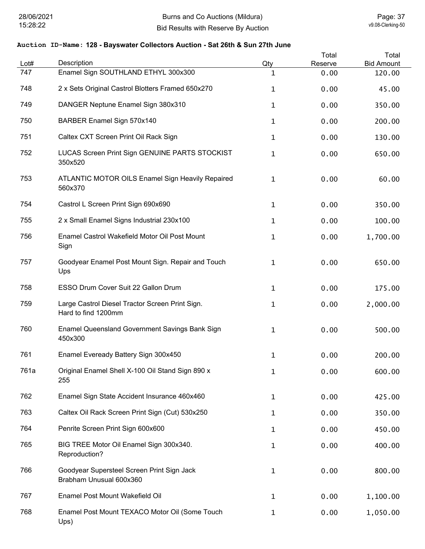| Lot# | Description                                                            | Qty          | Total<br>Reserve | Total<br><b>Bid Amount</b> |
|------|------------------------------------------------------------------------|--------------|------------------|----------------------------|
| 747  | Enamel Sign SOUTHLAND ETHYL 300x300                                    | $\mathbf 1$  | 0.00             | 120.00                     |
| 748  | 2 x Sets Original Castrol Blotters Framed 650x270                      | $\mathbf 1$  | 0.00             | 45.00                      |
| 749  | DANGER Neptune Enamel Sign 380x310                                     | $\mathbf 1$  | 0.00             | 350.00                     |
| 750  | BARBER Enamel Sign 570x140                                             | 1            | 0.00             | 200.00                     |
| 751  | Caltex CXT Screen Print Oil Rack Sign                                  | $\mathbf 1$  | 0.00             | 130.00                     |
| 752  | LUCAS Screen Print Sign GENUINE PARTS STOCKIST<br>350x520              | 1            | 0.00             | 650.00                     |
| 753  | <b>ATLANTIC MOTOR OILS Enamel Sign Heavily Repaired</b><br>560x370     | $\mathbf{1}$ | 0.00             | 60.00                      |
| 754  | Castrol L Screen Print Sign 690x690                                    | $\mathbf 1$  | 0.00             | 350.00                     |
| 755  | 2 x Small Enamel Signs Industrial 230x100                              | $\mathbf 1$  | 0.00             | 100.00                     |
| 756  | Enamel Castrol Wakefield Motor Oil Post Mount<br>Sign                  | $\mathbf 1$  | 0.00             | 1,700.00                   |
| 757  | Goodyear Enamel Post Mount Sign. Repair and Touch<br>Ups               | $\mathbf{1}$ | 0.00             | 650.00                     |
| 758  | ESSO Drum Cover Suit 22 Gallon Drum                                    | $\mathbf 1$  | 0.00             | 175.00                     |
| 759  | Large Castrol Diesel Tractor Screen Print Sign.<br>Hard to find 1200mm | 1            | 0.00             | 2,000.00                   |
| 760  | Enamel Queensland Government Savings Bank Sign<br>450x300              | 1            | 0.00             | 500.00                     |
| 761  | Enamel Eveready Battery Sign 300x450                                   | 1            | 0.00             | 200.00                     |
| 761a | Original Enamel Shell X-100 Oil Stand Sign 890 x<br>255                | 1            | 0.00             | 600.00                     |
| 762  | Enamel Sign State Accident Insurance 460x460                           | 1            | 0.00             | 425.00                     |
| 763  | Caltex Oil Rack Screen Print Sign (Cut) 530x250                        | 1            | 0.00             | 350.00                     |
| 764  | Penrite Screen Print Sign 600x600                                      | 1            | 0.00             | 450.00                     |
| 765  | BIG TREE Motor Oil Enamel Sign 300x340.<br>Reproduction?               | $\mathbf 1$  | 0.00             | 400.00                     |
| 766  | Goodyear Supersteel Screen Print Sign Jack<br>Brabham Unusual 600x360  | 1            | 0.00             | 800.00                     |
| 767  | Enamel Post Mount Wakefield Oil                                        | 1            | 0.00             | 1,100.00                   |
| 768  | Enamel Post Mount TEXACO Motor Oil (Some Touch<br>Ups)                 | 1            | 0.00             | 1,050.00                   |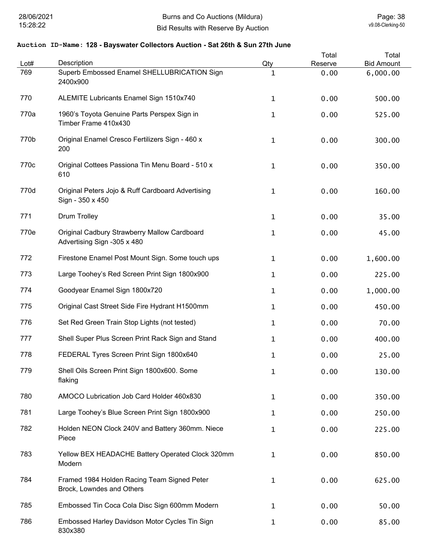| Lot# | Description                                                                 | Qty          | Total<br>Reserve | Total<br><b>Bid Amount</b> |
|------|-----------------------------------------------------------------------------|--------------|------------------|----------------------------|
| 769  | Superb Embossed Enamel SHELLUBRICATION Sign<br>2400x900                     | 1            | 0.00             | 6,000.00                   |
| 770  | ALEMITE Lubricants Enamel Sign 1510x740                                     | $\mathbf{1}$ | 0.00             | 500.00                     |
| 770a | 1960's Toyota Genuine Parts Perspex Sign in<br>Timber Frame 410x430         | 1            | 0.00             | 525.00                     |
| 770b | Original Enamel Cresco Fertilizers Sign - 460 x<br>200                      | $\mathbf{1}$ | 0.00             | 300.00                     |
| 770c | Original Cottees Passiona Tin Menu Board - 510 x<br>610                     | 1            | 0.00             | 350.00                     |
| 770d | Original Peters Jojo & Ruff Cardboard Advertising<br>Sign - 350 x 450       | $\mathbf{1}$ | 0.00             | 160.00                     |
| 771  | <b>Drum Trolley</b>                                                         | 1            | 0.00             | 35.00                      |
| 770e | Original Cadbury Strawberry Mallow Cardboard<br>Advertising Sign -305 x 480 | 1            | 0.00             | 45.00                      |
| 772  | Firestone Enamel Post Mount Sign. Some touch ups                            | 1            | 0.00             | 1,600.00                   |
| 773  | Large Toohey's Red Screen Print Sign 1800x900                               | 1            | 0.00             | 225.00                     |
| 774  | Goodyear Enamel Sign 1800x720                                               | 1            | 0.00             | 1,000.00                   |
| 775  | Original Cast Street Side Fire Hydrant H1500mm                              | 1            | 0.00             | 450.00                     |
| 776  | Set Red Green Train Stop Lights (not tested)                                | 1            | 0.00             | 70.00                      |
| 777  | Shell Super Plus Screen Print Rack Sign and Stand                           | 1            | 0.00             | 400.00                     |
| 778  | FEDERAL Tyres Screen Print Sign 1800x640                                    | 1            | 0.00             | 25.00                      |
| 779  | Shell Oils Screen Print Sign 1800x600. Some<br>flaking                      | 1            | 0.00             | 130.00                     |
| 780  | AMOCO Lubrication Job Card Holder 460x830                                   | 1            | 0.00             | 350.00                     |
| 781  | Large Toohey's Blue Screen Print Sign 1800x900                              | 1            | 0.00             | 250.00                     |
| 782  | Holden NEON Clock 240V and Battery 360mm. Niece<br>Piece                    | $\mathbf{1}$ | 0.00             | 225.00                     |
| 783  | Yellow BEX HEADACHE Battery Operated Clock 320mm<br>Modern                  | 1            | 0.00             | 850.00                     |
| 784  | Framed 1984 Holden Racing Team Signed Peter<br>Brock, Lowndes and Others    | 1            | 0.00             | 625.00                     |
| 785  | Embossed Tin Coca Cola Disc Sign 600mm Modern                               | 1            | 0.00             | 50.00                      |
| 786  | Embossed Harley Davidson Motor Cycles Tin Sign<br>830x380                   | 1            | 0.00             | 85.00                      |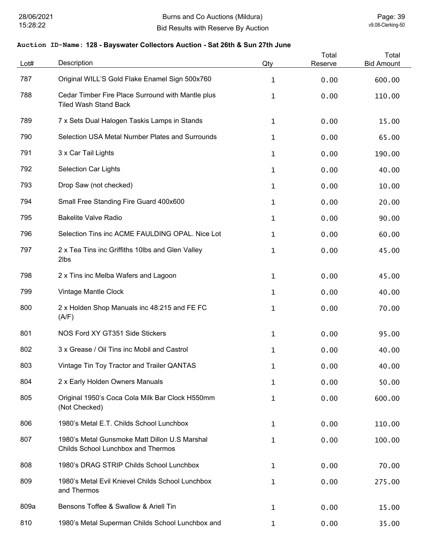| Lot# | Description                                                                                | Qty          | Total<br>Reserve | Total<br><b>Bid Amount</b> |
|------|--------------------------------------------------------------------------------------------|--------------|------------------|----------------------------|
| 787  | Original WILL'S Gold Flake Enamel Sign 500x760                                             | 1            | 0.00             | 600.00                     |
| 788  | Cedar Timber Fire Place Surround with Mantle plus<br><b>Tiled Wash Stand Back</b>          | 1            | 0.00             | 110.00                     |
| 789  | 7 x Sets Dual Halogen Taskis Lamps in Stands                                               | 1            | 0.00             | 15.00                      |
| 790  | Selection USA Metal Number Plates and Surrounds                                            | 1            | 0.00             | 65.00                      |
| 791  | 3 x Car Tail Lights                                                                        | 1            | 0.00             | 190.00                     |
| 792  | <b>Selection Car Lights</b>                                                                | 1            | 0.00             | 40.00                      |
| 793  | Drop Saw (not checked)                                                                     | 1            | 0.00             | 10.00                      |
| 794  | Small Free Standing Fire Guard 400x600                                                     | 1            | 0.00             | 20.00                      |
| 795  | <b>Bakelite Valve Radio</b>                                                                | 1            | 0.00             | 90.00                      |
| 796  | Selection Tins inc ACME FAULDING OPAL. Nice Lot                                            | $\mathbf 1$  | 0.00             | 60.00                      |
| 797  | 2 x Tea Tins inc Griffiths 10lbs and Glen Valley<br>2lbs                                   | $\mathbf 1$  | 0.00             | 45.00                      |
| 798  | 2 x Tins inc Melba Wafers and Lagoon                                                       | $\mathbf{1}$ | 0.00             | 45.00                      |
| 799  | Vintage Mantle Clock                                                                       | 1            | 0.00             | 40.00                      |
| 800  | 2 x Holden Shop Manuals inc 48:215 and FE FC<br>(A/F)                                      | 1            | 0.00             | 70.00                      |
| 801  | NOS Ford XY GT351 Side Stickers                                                            | 1            | 0.00             | 95.00                      |
| 802  | 3 x Grease / Oil Tins inc Mobil and Castrol                                                | 1            | 0.00             | 40.00                      |
| 803  | Vintage Tin Toy Tractor and Trailer QANTAS                                                 | 1            | 0.00             | 40.00                      |
| 804  | 2 x Early Holden Owners Manuals                                                            | 1            | 0.00             | 50.00                      |
| 805  | Original 1950's Coca Cola Milk Bar Clock H550mm<br>(Not Checked)                           | 1            | 0.00             | 600.00                     |
| 806  | 1980's Metal E.T. Childs School Lunchbox                                                   | $\mathbf{1}$ | 0.00             | 110.00                     |
| 807  | 1980's Metal Gunsmoke Matt Dillon U.S Marshal<br><b>Childs School Lunchbox and Thermos</b> | $\mathbf{1}$ | 0.00             | 100.00                     |
| 808  | 1980's DRAG STRIP Childs School Lunchbox                                                   | $\mathbf{1}$ | 0.00             | 70.00                      |
| 809  | 1980's Metal Evil Knievel Childs School Lunchbox<br>and Thermos                            | 1            | 0.00             | 275.00                     |
| 809a | Bensons Toffee & Swallow & Ariell Tin                                                      | $\mathbf{1}$ | 0.00             | 15.00                      |
| 810  | 1980's Metal Superman Childs School Lunchbox and                                           | $\mathbf{1}$ | 0.00             | 35.00                      |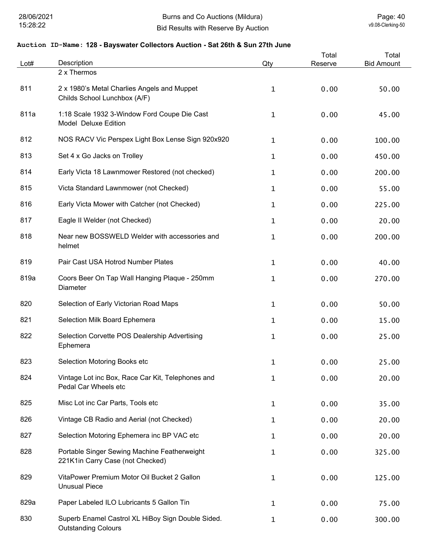| Lot# | Description                                                                      | Qty          | Total<br>Reserve | Total<br><b>Bid Amount</b> |
|------|----------------------------------------------------------------------------------|--------------|------------------|----------------------------|
|      | 2 x Thermos                                                                      |              |                  |                            |
| 811  | 2 x 1980's Metal Charlies Angels and Muppet<br>Childs School Lunchbox (A/F)      | 1            | 0.00             | 50.00                      |
| 811a | 1:18 Scale 1932 3-Window Ford Coupe Die Cast<br>Model Deluxe Edition             | 1            | 0.00             | 45.00                      |
| 812  | NOS RACV Vic Perspex Light Box Lense Sign 920x920                                | 1            | 0.00             | 100.00                     |
| 813  | Set 4 x Go Jacks on Trolley                                                      | 1            | 0.00             | 450.00                     |
| 814  | Early Victa 18 Lawnmower Restored (not checked)                                  | 1            | 0.00             | 200.00                     |
| 815  | Victa Standard Lawnmower (not Checked)                                           | 1            | 0.00             | 55.00                      |
| 816  | Early Victa Mower with Catcher (not Checked)                                     | 1            | 0.00             | 225.00                     |
| 817  | Eagle II Welder (not Checked)                                                    | 1            | 0.00             | 20.00                      |
| 818  | Near new BOSSWELD Welder with accessories and<br>helmet                          | $\mathbf 1$  | 0.00             | 200.00                     |
| 819  | Pair Cast USA Hotrod Number Plates                                               | 1            | 0.00             | 40.00                      |
| 819a | Coors Beer On Tap Wall Hanging Plaque - 250mm<br>Diameter                        | $\mathbf 1$  | 0.00             | 270.00                     |
| 820  | Selection of Early Victorian Road Maps                                           | 1            | 0.00             | 50.00                      |
| 821  | Selection Milk Board Ephemera                                                    | $\mathbf 1$  | 0.00             | 15.00                      |
| 822  | Selection Corvette POS Dealership Advertising<br>Ephemera                        | $\mathbf 1$  | 0.00             | 25.00                      |
| 823  | Selection Motoring Books etc                                                     | 1            | 0.00             | 25.00                      |
| 824  | Vintage Lot inc Box, Race Car Kit, Telephones and<br>Pedal Car Wheels etc        | $\mathbf{1}$ | 0.00             | 20.00                      |
| 825  | Misc Lot inc Car Parts, Tools etc                                                | $\mathbf{1}$ | 0.00             | 35.00                      |
| 826  | Vintage CB Radio and Aerial (not Checked)                                        | $\mathbf{1}$ | 0.00             | 20.00                      |
| 827  | Selection Motoring Ephemera inc BP VAC etc                                       | $\mathbf{1}$ | 0.00             | 20.00                      |
| 828  | Portable Singer Sewing Machine Featherweight<br>221K1in Carry Case (not Checked) | $\mathbf{1}$ | 0.00             | 325.00                     |
| 829  | VitaPower Premium Motor Oil Bucket 2 Gallon<br><b>Unusual Piece</b>              | $\mathbf{1}$ | 0.00             | 125.00                     |
| 829a | Paper Labeled ILO Lubricants 5 Gallon Tin                                        | $\mathbf{1}$ | 0.00             | 75.00                      |
| 830  | Superb Enamel Castrol XL HiBoy Sign Double Sided.<br><b>Outstanding Colours</b>  | $\mathbf{1}$ | 0.00             | 300.00                     |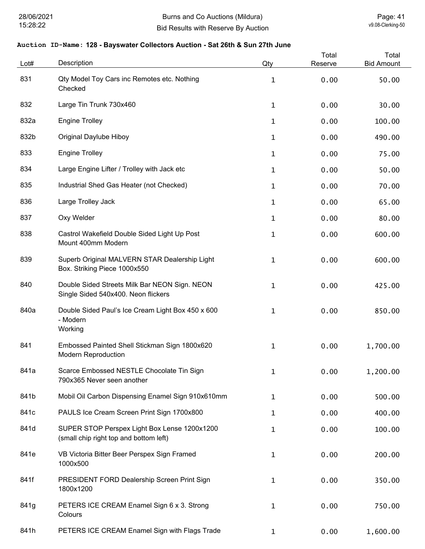| Lot# | Description                                                                            | Qty          | Total<br>Reserve | Total<br><b>Bid Amount</b> |
|------|----------------------------------------------------------------------------------------|--------------|------------------|----------------------------|
| 831  | Qty Model Toy Cars inc Remotes etc. Nothing<br>Checked                                 | $\mathbf{1}$ | 0.00             | 50.00                      |
| 832  | Large Tin Trunk 730x460                                                                | 1            | 0.00             | 30.00                      |
| 832a | <b>Engine Trolley</b>                                                                  | 1            | 0.00             | 100.00                     |
| 832b | <b>Original Daylube Hiboy</b>                                                          | 1            | 0.00             | 490.00                     |
| 833  | <b>Engine Trolley</b>                                                                  | 1            | 0.00             | 75.00                      |
| 834  | Large Engine Lifter / Trolley with Jack etc                                            | 1            | 0.00             | 50.00                      |
| 835  | Industrial Shed Gas Heater (not Checked)                                               | 1            | 0.00             | 70.00                      |
| 836  | Large Trolley Jack                                                                     | 1            | 0.00             | 65.00                      |
| 837  | Oxy Welder                                                                             | 1            | 0.00             | 80.00                      |
| 838  | Castrol Wakefield Double Sided Light Up Post<br>Mount 400mm Modern                     | 1            | 0.00             | 600.00                     |
| 839  | Superb Original MALVERN STAR Dealership Light<br>Box. Striking Piece 1000x550          | 1            | 0.00             | 600.00                     |
| 840  | Double Sided Streets Milk Bar NEON Sign. NEON<br>Single Sided 540x400. Neon flickers   | 1            | 0.00             | 425.00                     |
| 840a | Double Sided Paul's Ice Cream Light Box 450 x 600<br>- Modern<br>Working               | 1            | 0.00             | 850.00                     |
| 841  | Embossed Painted Shell Stickman Sign 1800x620<br><b>Modern Reproduction</b>            | 1            | 0.00             | 1,700.00                   |
| 841a | Scarce Embossed NESTLE Chocolate Tin Sign<br>790x365 Never seen another                | 1            | 0.00             | 1,200.00                   |
| 841b | Mobil Oil Carbon Dispensing Enamel Sign 910x610mm                                      | 1            | 0.00             | 500.00                     |
| 841c | PAULS Ice Cream Screen Print Sign 1700x800                                             | 1            | 0.00             | 400.00                     |
| 841d | SUPER STOP Perspex Light Box Lense 1200x1200<br>(small chip right top and bottom left) | $\mathbf{1}$ | 0.00             | 100.00                     |
| 841e | VB Victoria Bitter Beer Perspex Sign Framed<br>1000x500                                | 1            | 0.00             | 200.00                     |
| 841f | PRESIDENT FORD Dealership Screen Print Sign<br>1800x1200                               | 1            | 0.00             | 350.00                     |
| 841g | PETERS ICE CREAM Enamel Sign 6 x 3. Strong<br>Colours                                  | 1            | 0.00             | 750.00                     |
| 841h | PETERS ICE CREAM Enamel Sign with Flags Trade                                          | $\mathbf{1}$ | 0.00             | 1,600.00                   |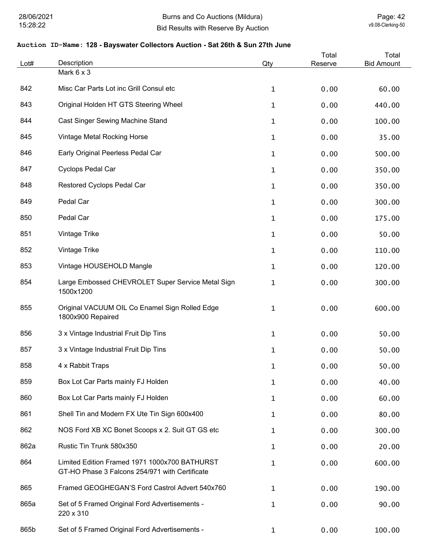| Lot# | Description                                                                                     | Qty          | Total<br>Reserve | Total<br><b>Bid Amount</b> |
|------|-------------------------------------------------------------------------------------------------|--------------|------------------|----------------------------|
|      | Mark 6 x 3                                                                                      |              |                  |                            |
| 842  | Misc Car Parts Lot inc Grill Consul etc                                                         | $\mathbf{1}$ | 0.00             | 60.00                      |
| 843  | Original Holden HT GTS Steering Wheel                                                           | $\mathbf{1}$ | 0.00             | 440.00                     |
| 844  | Cast Singer Sewing Machine Stand                                                                | $\mathbf{1}$ | 0.00             | 100.00                     |
| 845  | Vintage Metal Rocking Horse                                                                     | $\mathbf 1$  | 0.00             | 35.00                      |
| 846  | Early Original Peerless Pedal Car                                                               | $\mathbf{1}$ | 0.00             | 500.00                     |
| 847  | Cyclops Pedal Car                                                                               | $\mathbf{1}$ | 0.00             | 350.00                     |
| 848  | Restored Cyclops Pedal Car                                                                      | $\mathbf{1}$ | 0.00             | 350.00                     |
| 849  | Pedal Car                                                                                       | $\mathbf{1}$ | 0.00             | 300.00                     |
| 850  | Pedal Car                                                                                       | $\mathbf{1}$ | 0.00             | 175.00                     |
| 851  | Vintage Trike                                                                                   | $\mathbf{1}$ | 0.00             | 50.00                      |
| 852  | Vintage Trike                                                                                   | $\mathbf 1$  | 0.00             | 110.00                     |
| 853  | Vintage HOUSEHOLD Mangle                                                                        | $\mathbf 1$  | 0.00             | 120.00                     |
| 854  | Large Embossed CHEVROLET Super Service Metal Sign<br>1500x1200                                  | $\mathbf{1}$ | 0.00             | 300.00                     |
| 855  | Original VACUUM OIL Co Enamel Sign Rolled Edge<br>1800x900 Repaired                             | $\mathbf 1$  | 0.00             | 600.00                     |
| 856  | 3 x Vintage Industrial Fruit Dip Tins                                                           | $\mathbf 1$  | 0.00             | 50.00                      |
| 857  | 3 x Vintage Industrial Fruit Dip Tins                                                           | $\mathbf 1$  | 0.00             | 50.00                      |
| 858  | 4 x Rabbit Traps                                                                                | $\mathbf{1}$ | 0.00             | 50.00                      |
| 859  | Box Lot Car Parts mainly FJ Holden                                                              | $\mathbf{1}$ | 0.00             | 40.00                      |
| 860  | Box Lot Car Parts mainly FJ Holden                                                              | $\mathbf{1}$ | 0.00             | 60.00                      |
| 861  | Shell Tin and Modern FX Ute Tin Sign 600x400                                                    | $\mathbf{1}$ | 0.00             | 80.00                      |
| 862  | NOS Ford XB XC Bonet Scoops x 2. Suit GT GS etc                                                 | $\mathbf{1}$ | 0.00             | 300.00                     |
| 862a | Rustic Tin Trunk 580x350                                                                        | $\mathbf{1}$ | 0.00             | 20.00                      |
| 864  | Limited Edition Framed 1971 1000x700 BATHURST<br>GT-HO Phase 3 Falcons 254/971 with Certificate | $\mathbf{1}$ | 0.00             | 600.00                     |
| 865  | Framed GEOGHEGAN'S Ford Castrol Advert 540x760                                                  | $\mathbf{1}$ | 0.00             | 190.00                     |
| 865a | Set of 5 Framed Original Ford Advertisements -<br>220 x 310                                     | $\mathbf{1}$ | 0.00             | 90.00                      |
| 865b | Set of 5 Framed Original Ford Advertisements -                                                  | $\mathbf{1}$ | 0.00             | 100.00                     |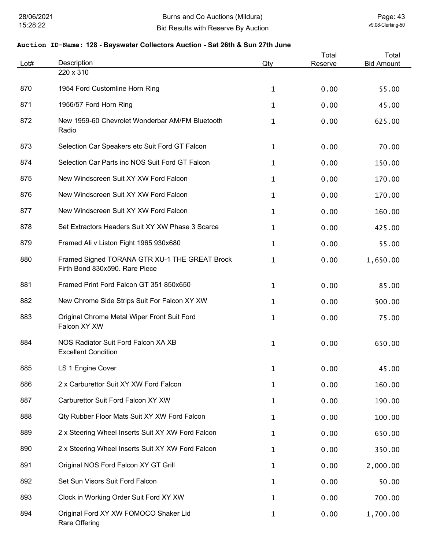| Lot# | Description                                                                     | Qty          | Total<br>Reserve | Total<br><b>Bid Amount</b> |
|------|---------------------------------------------------------------------------------|--------------|------------------|----------------------------|
|      | 220 x 310                                                                       |              |                  |                            |
| 870  | 1954 Ford Customline Horn Ring                                                  | 1            | 0.00             | 55.00                      |
| 871  | 1956/57 Ford Horn Ring                                                          | 1            | 0.00             | 45.00                      |
| 872  | New 1959-60 Chevrolet Wonderbar AM/FM Bluetooth<br>Radio                        | $\mathbf{1}$ | 0.00             | 625.00                     |
| 873  | Selection Car Speakers etc Suit Ford GT Falcon                                  | 1            | 0.00             | 70.00                      |
| 874  | Selection Car Parts inc NOS Suit Ford GT Falcon                                 | $\mathbf{1}$ | 0.00             | 150.00                     |
| 875  | New Windscreen Suit XY XW Ford Falcon                                           | $\mathbf{1}$ | 0.00             | 170.00                     |
| 876  | New Windscreen Suit XY XW Ford Falcon                                           | $\mathbf{1}$ | 0.00             | 170.00                     |
| 877  | New Windscreen Suit XY XW Ford Falcon                                           | $\mathbf 1$  | 0.00             | 160.00                     |
| 878  | Set Extractors Headers Suit XY XW Phase 3 Scarce                                | 1            | 0.00             | 425.00                     |
| 879  | Framed Ali v Liston Fight 1965 930x680                                          | $\mathbf 1$  | 0.00             | 55.00                      |
| 880  | Framed Signed TORANA GTR XU-1 THE GREAT Brock<br>Firth Bond 830x590. Rare Piece | 1            | 0.00             | 1,650.00                   |
| 881  | Framed Print Ford Falcon GT 351 850x650                                         | $\mathbf 1$  | 0.00             | 85.00                      |
| 882  | New Chrome Side Strips Suit For Falcon XY XW                                    | $\mathbf{1}$ | 0.00             | 500.00                     |
| 883  | Original Chrome Metal Wiper Front Suit Ford<br>Falcon XY XW                     | 1            | 0.00             | 75.00                      |
| 884  | NOS Radiator Suit Ford Falcon XA XB<br><b>Excellent Condition</b>               | $\mathbf 1$  | 0.00             | 650.00                     |
| 885  | LS 1 Engine Cover                                                               | 1            | 0.00             | 45.00                      |
| 886  | 2 x Carburettor Suit XY XW Ford Falcon                                          | 1            | 0.00             | 160.00                     |
| 887  | Carburettor Suit Ford Falcon XY XW                                              | 1            | 0.00             | 190.00                     |
| 888  | Qty Rubber Floor Mats Suit XY XW Ford Falcon                                    | 1            | 0.00             | 100.00                     |
| 889  | 2 x Steering Wheel Inserts Suit XY XW Ford Falcon                               | 1            | 0.00             | 650.00                     |
| 890  | 2 x Steering Wheel Inserts Suit XY XW Ford Falcon                               | 1            | 0.00             | 350.00                     |
| 891  | Original NOS Ford Falcon XY GT Grill                                            | $\mathbf{1}$ | 0.00             | 2,000.00                   |
| 892  | Set Sun Visors Suit Ford Falcon                                                 | $\mathbf{1}$ | 0.00             | 50.00                      |
| 893  | Clock in Working Order Suit Ford XY XW                                          | $\mathbf{1}$ | 0.00             | 700.00                     |
| 894  | Original Ford XY XW FOMOCO Shaker Lid<br>Rare Offering                          | $\mathbf 1$  | 0.00             | 1,700.00                   |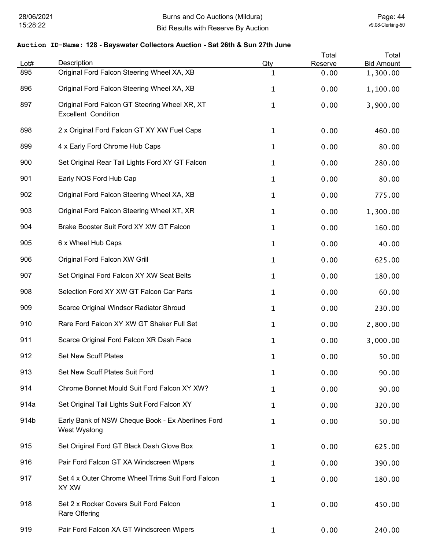| Lot# | Description                                                                 | Qty          | Total<br>Reserve | Total<br><b>Bid Amount</b> |
|------|-----------------------------------------------------------------------------|--------------|------------------|----------------------------|
| 895  | Original Ford Falcon Steering Wheel XA, XB                                  | 1            | 0.00             | 1,300.00                   |
| 896  | Original Ford Falcon Steering Wheel XA, XB                                  | 1            | 0.00             | 1,100.00                   |
| 897  | Original Ford Falcon GT Steering Wheel XR, XT<br><b>Excellent Condition</b> | 1            | 0.00             | 3,900.00                   |
| 898  | 2 x Original Ford Falcon GT XY XW Fuel Caps                                 | 1            | 0.00             | 460.00                     |
| 899  | 4 x Early Ford Chrome Hub Caps                                              | 1            | 0.00             | 80.00                      |
| 900  | Set Original Rear Tail Lights Ford XY GT Falcon                             | 1            | 0.00             | 280.00                     |
| 901  | Early NOS Ford Hub Cap                                                      | 1            | 0.00             | 80.00                      |
| 902  | Original Ford Falcon Steering Wheel XA, XB                                  | 1            | 0.00             | 775.00                     |
| 903  | Original Ford Falcon Steering Wheel XT, XR                                  | $\mathbf{1}$ | 0.00             | 1,300.00                   |
| 904  | Brake Booster Suit Ford XY XW GT Falcon                                     | 1            | 0.00             | 160.00                     |
| 905  | 6 x Wheel Hub Caps                                                          | 1            | 0.00             | 40.00                      |
| 906  | Original Ford Falcon XW Grill                                               | 1            | 0.00             | 625.00                     |
| 907  | Set Original Ford Falcon XY XW Seat Belts                                   | 1            | 0.00             | 180.00                     |
| 908  | Selection Ford XY XW GT Falcon Car Parts                                    | 1            | 0.00             | 60.00                      |
| 909  | Scarce Original Windsor Radiator Shroud                                     | 1            | 0.00             | 230.00                     |
| 910  | Rare Ford Falcon XY XW GT Shaker Full Set                                   | 1            | 0.00             | 2,800.00                   |
| 911  | Scarce Original Ford Falcon XR Dash Face                                    | 1            | 0.00             | 3,000.00                   |
| 912  | <b>Set New Scuff Plates</b>                                                 | 1            | 0.00             | 50.00                      |
| 913  | Set New Scuff Plates Suit Ford                                              | 1            | 0.00             | 90.00                      |
| 914  | Chrome Bonnet Mould Suit Ford Falcon XY XW?                                 | 1            | 0.00             | 90.00                      |
| 914a | Set Original Tail Lights Suit Ford Falcon XY                                | 1            | 0.00             | 320.00                     |
| 914b | Early Bank of NSW Cheque Book - Ex Aberlines Ford<br>West Wyalong           | 1            | 0.00             | 50.00                      |
| 915  | Set Original Ford GT Black Dash Glove Box                                   | $\mathbf{1}$ | 0.00             | 625.00                     |
| 916  | Pair Ford Falcon GT XA Windscreen Wipers                                    | $\mathbf 1$  | 0.00             | 390.00                     |
| 917  | Set 4 x Outer Chrome Wheel Trims Suit Ford Falcon<br>XY XW                  | 1            | 0.00             | 180.00                     |
| 918  | Set 2 x Rocker Covers Suit Ford Falcon<br><b>Rare Offering</b>              | 1            | 0.00             | 450.00                     |
| 919  | Pair Ford Falcon XA GT Windscreen Wipers                                    | $\mathbf{1}$ | 0.00             | 240.00                     |